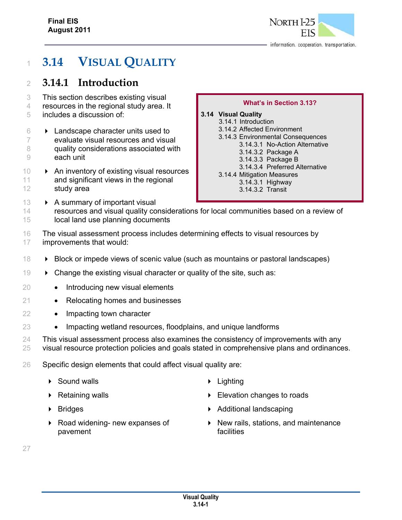

# <sup>1</sup> **3.14 VISUAL QUALITY**

# <sup>2</sup> **3.14.1 Introduction**

- 3 This section describes existing visual
- 4 resources in the regional study area. It
- 5 includes a discussion of:
- $6 \rightarrow$  Landscape character units used to 7 evaluate visual resources and visual 8 quality considerations associated with 9 each unit
- $10 \rightarrow$  An inventory of existing visual resources 11 and significant views in the regional 12 study area

#### **What's in Section 3.13?**

#### **3.14 Visual Quality**

- 3.14.1 Introduction
	- 3.14.2 Affected Environment
	- 3.14.3 Environmental Consequences
		- 3.14.3.1 No-Action Alternative
			- 3.14.3.2 Package A
		- 3.14.3.3 Package B
	- 3.14.3.4 Preferred Alternative 3.14.4 Mitigation Measures
	- 3.14.3.1 Highway
		- 3.14.3.2 Transit
- 13 A summary of important visual 14 resources and visual quality considerations for local communities based on a review of 15 local land use planning documents
- 16 The visual assessment process includes determining effects to visual resources by 17 improvements that would:
- 18 **Block or impede views of scenic value (such as mountains or pastoral landscapes)**
- 19 Change the existing visual character or quality of the site, such as:
- 20 Introducing new visual elements
- 21 Relocating homes and businesses
- 22 Impacting town character
- 23 Impacting wetland resources, floodplains, and unique landforms
- 24 This visual assessment process also examines the consistency of improvements with any 25 visual resource protection policies and goals stated in comprehensive plans and ordinances.
- 26 Specific design elements that could affect visual quality are:
	- ▶ Sound walls **Lighting**
	-
	-
	- ▶ Road widening- new expanses of pavement
- 
- **Elevation changes to roads Elevation changes to roads**
- ▶ Bridges **Additional landscaping** 
	- $\triangleright$  New rails, stations, and maintenance **facilities**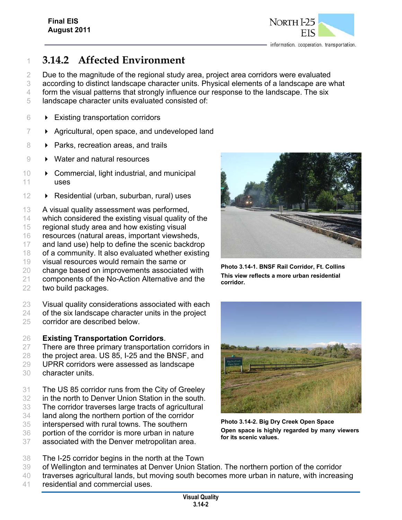

# **3.14.2 Affected Environment**

 Due to the magnitude of the regional study area, project area corridors were evaluated according to distinct landscape character units. Physical elements of a landscape are what 4 form the visual patterns that strongly influence our response to the landscape. The six

- 
- landscape character units evaluated consisted of:
- $6 \rightarrow$  Existing transportation corridors
- $7 \rightarrow$  Agricultural, open space, and undeveloped land
- **Parks, recreation areas, and trails**
- 9 Water and natural resources
- 10 > Commercial, light industrial, and municipal uses
- **D** Residential (urban, suburban, rural) uses
- A visual quality assessment was performed,
- which considered the existing visual quality of the
- regional study area and how existing visual
- resources (natural areas, important viewsheds,
- and land use) help to define the scenic backdrop
- of a community. It also evaluated whether existing
- visual resources would remain the same or
- change based on improvements associated with
- components of the No-Action Alternative and the
- two build packages.

 Visual quality considerations associated with each of the six landscape character units in the project

corridor are described below.

#### **Existing Transportation Corridors**.

- There are three primary transportation corridors in
- the project area. US 85, I-25 and the BNSF, and
- UPRR corridors were assessed as landscape
- character units.
- The US 85 corridor runs from the City of Greeley
- in the north to Denver Union Station in the south.
- The corridor traverses large tracts of agricultural
- land along the northern portion of the corridor
- interspersed with rural towns. The southern
- portion of the corridor is more urban in nature
- associated with the Denver metropolitan area.



**Photo 3.14-1. BNSF Rail Corridor, Ft. Collins This view reflects a more urban residential corridor.** 



**Photo 3.14-2. Big Dry Creek Open Space Open space is highly regarded by many viewers for its scenic values.**

- The I-25 corridor begins in the north at the Town
- of Wellington and terminates at Denver Union Station. The northern portion of the corridor
- traverses agricultural lands, but moving south becomes more urban in nature, with increasing residential and commercial uses.
	- **Visual Quality 3.14-2**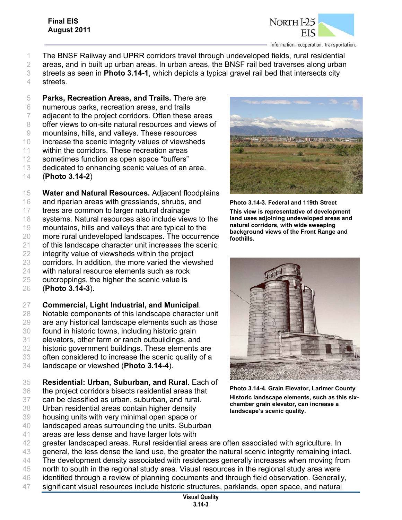

- The BNSF Railway and UPRR corridors travel through undeveloped fields, rural residential
- areas, and in built up urban areas. In urban areas, the BNSF rail bed traverses along urban
- streets as seen in **Photo 3.14-1**, which depicts a typical gravel rail bed that intersects city
- streets.
- **Parks, Recreation Areas, and Trails.** There are numerous parks, recreation areas, and trails
- 
- adjacent to the project corridors. Often these areas offer views to on-site natural resources and views of
- 
- mountains, hills, and valleys. These resources
- increase the scenic integrity values of viewsheds
- within the corridors. These recreation areas sometimes function as open space "buffers"
- 
- dedicated to enhancing scenic values of an area.
- (**Photo 3.14-2**)
- **Water and Natural Resources.** Adjacent floodplains
- 16 and riparian areas with grasslands, shrubs, and
- trees are common to larger natural drainage
- systems. Natural resources also include views to the
- mountains, hills and valleys that are typical to the
- more rural undeveloped landscapes. The occurrence
- 21 of this landscape character unit increases the scenic
- integrity value of viewsheds within the project
- corridors. In addition, the more varied the viewshed
- with natural resource elements such as rock
- outcroppings, the higher the scenic value is
- (**Photo 3.14-3**).
- **Commercial, Light Industrial, and Municipal**.
- Notable components of this landscape character unit
- are any historical landscape elements such as those
- found in historic towns, including historic grain
- elevators, other farm or ranch outbuildings, and
- historic government buildings. These elements are
- often considered to increase the scenic quality of a
- landscape or viewshed (**Photo 3.14-4**).
- **Residential: Urban, Suburban, and Rural.** Each of
- the project corridors bisects residential areas that
- can be classified as urban, suburban, and rural.
- Urban residential areas contain higher density
- housing units with very minimal open space or
- landscaped areas surrounding the units. Suburban
- areas are less dense and have larger lots with
- greater landscaped areas. Rural residential areas are often associated with agriculture. In
- general, the less dense the land use, the greater the natural scenic integrity remaining intact.
- The development density associated with residences generally increases when moving from
- north to south in the regional study area. Visual resources in the regional study area were
- identified through a review of planning documents and through field observation. Generally, significant visual resources include historic structures, parklands, open space, and natural



**Photo 3.14-3. Federal and 119th Street This view is representative of development land uses adjoining undeveloped areas and natural corridors, with wide sweeping background views of the Front Range and foothills.** 



**Photo 3.14-4. Grain Elevator, Larimer County Historic landscape elements, such as this sixchamber grain elevator, can increase a landscape's scenic quality.** 

**Visual Quality 3.14-3**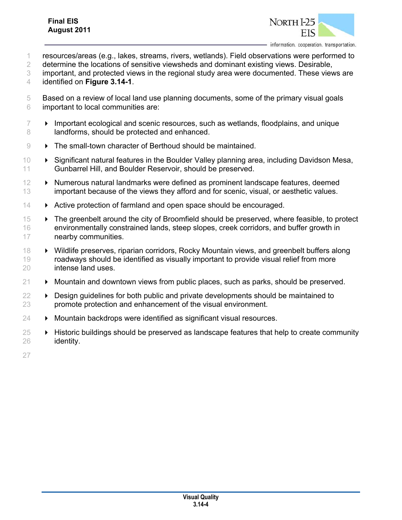

- 1 resources/areas (e.g., lakes, streams, rivers, wetlands). Field observations were performed to
- 2 determine the locations of sensitive viewsheds and dominant existing views. Desirable,
- 3 important, and protected views in the regional study area were documented. These views are 4 identified on **Figure 3.14-1**.
- 5 Based on a review of local land use planning documents, some of the primary visual goals 6 important to local communities are:
- $7 \rightarrow$  Important ecological and scenic resources, such as wetlands, floodplains, and unique 8 landforms, should be protected and enhanced.
- 9 > The small-town character of Berthoud should be maintained.
- 10 Significant natural features in the Boulder Valley planning area, including Davidson Mesa, 11 Gunbarrel Hill, and Boulder Reservoir, should be preserved.
- 12 **EX S** Numerous natural landmarks were defined as prominent landscape features, deemed 13 important because of the views they afford and for scenic, visual, or aesthetic values.
- 14 **Active protection of farmland and open space should be encouraged.**
- 15 The greenbelt around the city of Broomfield should be preserved, where feasible, to protect 16 environmentally constrained lands, steep slopes, creek corridors, and buffer growth in 17 nearby communities.
- 18 Wildlife preserves, riparian corridors, Rocky Mountain views, and greenbelt buffers along 19 roadways should be identified as visually important to provide visual relief from more 20 intense land uses.
- $21 \rightarrow$  Mountain and downtown views from public places, such as parks, should be preserved.
- $22 \rightarrow$  Design guidelines for both public and private developments should be maintained to 23 promote protection and enhancement of the visual environment.
- $24 \rightarrow$  Mountain backdrops were identified as significant visual resources.
- $25 \rightarrow$  Historic buildings should be preserved as landscape features that help to create community 26 identity.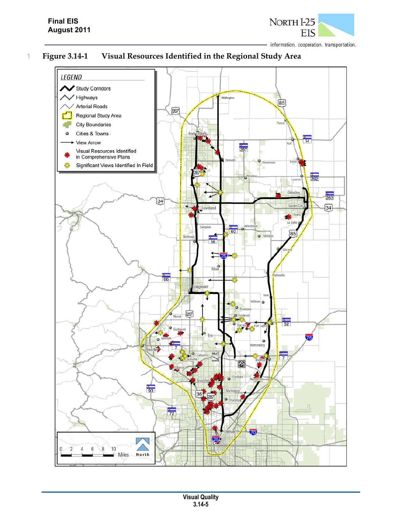

# 1 **Figure 3.14-1 Visual Resources Identified in the Regional Study Area**

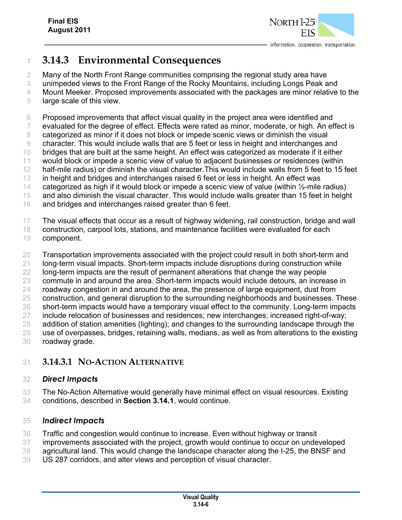

# **3.14.3 Environmental Consequences**

Many of the North Front Range communities comprising the regional study area have

unimpeded views to the Front Range of the Rocky Mountains, including Longs Peak and

Mount Meeker. Proposed improvements associated with the packages are minor relative to the

large scale of this view.

Proposed improvements that affect visual quality in the project area were identified and

evaluated for the degree of effect. Effects were rated as minor, moderate, or high. An effect is

8 categorized as minor if it does not block or impede scenic views or diminish the visual

character. This would include walls that are 5 feet or less in height and interchanges and

bridges that are built at the same height. An effect was categorized as moderate if it either

- would block or impede a scenic view of value to adjacent businesses or residences (within 12 half-mile radius) or diminish the visual character. This would include walls from 5 feet to 15 feet
- in height and bridges and interchanges raised 6 feet or less in height. An effect was

14 categorized as high if it would block or impede a scenic view of value (within 1/2-mile radius)

and also diminish the visual character. This would include walls greater than 15 feet in height

and bridges and interchanges raised greater than 6 feet.

The visual effects that occur as a result of highway widening, rail construction, bridge and wall

- construction, carpool lots, stations, and maintenance facilities were evaluated for each
- component.

 Transportation improvements associated with the project could result in both short-term and 21 long-term visual impacts. Short-term impacts include disruptions during construction while long-term impacts are the result of permanent alterations that change the way people commute in and around the area. Short-term impacts would include detours, an increase in roadway congestion in and around the area, the presence of large equipment, dust from construction, and general disruption to the surrounding neighborhoods and businesses. These 26 short-term impacts would have a temporary visual effect to the community. Long-term impacts include relocation of businesses and residences; new interchanges; increased right-of-way; addition of station amenities (lighting); and changes to the surrounding landscape through the use of overpasses, bridges, retaining walls, medians, as well as from alterations to the existing

roadway grade.

# **3.14.3.1 NO-ACTION ALTERNATIVE**

## *Direct Impacts*

 The No-Action Alternative would generally have minimal effect on visual resources. Existing conditions, described in **Section 3.14.1**, would continue.

## *Indirect Impacts*

- Traffic and congestion would continue to increase. Even without highway or transit
- improvements associated with the project, growth would continue to occur on undeveloped
- agricultural land. This would change the landscape character along the I-25, the BNSF and
- US 287 corridors, and alter views and perception of visual character.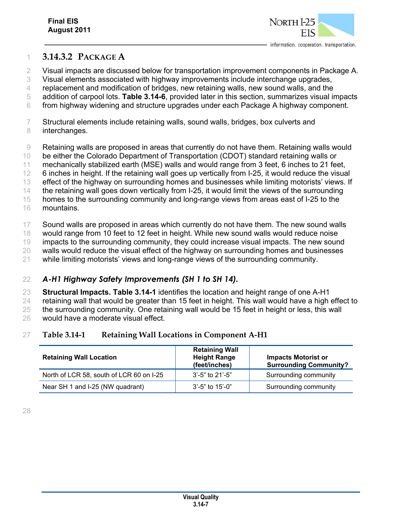

### **3.14.3.2 PACKAGE A**

Visual impacts are discussed below for transportation improvement components in Package A.

Visual elements associated with highway improvements include interchange upgrades,

replacement and modification of bridges, new retaining walls, new sound walls, and the

 addition of carpool lots. **Table 3.14-6**, provided later in this section, summarizes visual impacts from highway widening and structure upgrades under each Package A highway component.

 Structural elements include retaining walls, sound walls, bridges, box culverts and interchanges.

Retaining walls are proposed in areas that currently do not have them. Retaining walls would

be either the Colorado Department of Transportation (CDOT) standard retaining walls or

- mechanically stabilized earth (MSE) walls and would range from 3 feet, 6 inches to 21 feet,
- 6 inches in height. If the retaining wall goes up vertically from I-25, it would reduce the visual
- effect of the highway on surrounding homes and businesses while limiting motorists' views. If

14 the retaining wall goes down vertically from I-25, it would limit the views of the surrounding

homes to the surrounding community and long-range views from areas east of I-25 to the

mountains.

Sound walls are proposed in areas which currently do not have them. The new sound walls

would range from 10 feet to 12 feet in height. While new sound walls would reduce noise

impacts to the surrounding community, they could increase visual impacts. The new sound

walls would reduce the visual effect of the highway on surrounding homes and businesses

while limiting motorists' views and long-range views of the surrounding community.

## *A-H1 Highway Safety Improvements (SH 1 to SH 14).*

**Structural Impacts. Table 3.14-1** identifies the location and height range of one A-H1

retaining wall that would be greater than 15 feet in height. This wall would have a high effect to

25 the surrounding community. One retaining wall would be 15 feet in height or less, this wall

would have a moderate visual effect.

#### **Table 3.14-1 Retaining Wall Locations in Component A-H1**

| <b>Retaining Wall Location</b>           | <b>Retaining Wall</b><br><b>Height Range</b><br>(feet/inches) | <b>Impacts Motorist or</b><br><b>Surrounding Community?</b> |
|------------------------------------------|---------------------------------------------------------------|-------------------------------------------------------------|
| North of LCR 58, south of LCR 60 on I-25 | $3'$ -5" to 21'-5"                                            | Surrounding community                                       |
| Near SH 1 and I-25 (NW quadrant)         | $3'-5''$ to 15'-0"                                            | Surrounding community                                       |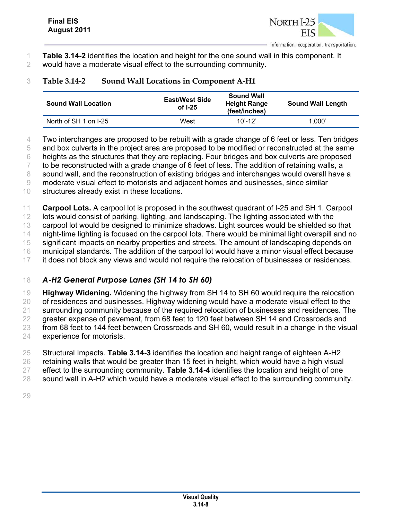

- 1 **Table 3.14-2** identifies the location and height for the one sound wall in this component. It
- 2 would have a moderate visual effect to the surrounding community.

## 3 **Table 3.14-2 Sound Wall Locations in Component A-H1**

| <b>Sound Wall Location</b> | <b>East/West Side</b><br>of I-25 | <b>Sound Wall</b><br><b>Height Range</b><br>(feet/inches) | <b>Sound Wall Length</b> |
|----------------------------|----------------------------------|-----------------------------------------------------------|--------------------------|
| North of SH 1 on I-25      | West                             | $10' - 12'$                                               | 1.000'                   |

4 Two interchanges are proposed to be rebuilt with a grade change of 6 feet or less. Ten bridges

5 and box culverts in the project area are proposed to be modified or reconstructed at the same

6 heights as the structures that they are replacing. Four bridges and box culverts are proposed

7 to be reconstructed with a grade change of 6 feet of less. The addition of retaining walls, a

8 sound wall, and the reconstruction of existing bridges and interchanges would overall have a

9 moderate visual effect to motorists and adjacent homes and businesses, since similar

10 structures already exist in these locations.

11 **Carpool Lots.** A carpool lot is proposed in the southwest quadrant of I-25 and SH 1. Carpool

12 lots would consist of parking, lighting, and landscaping. The lighting associated with the

13 carpool lot would be designed to minimize shadows. Light sources would be shielded so that

14 night-time lighting is focused on the carpool lots. There would be minimal light overspill and no

15 significant impacts on nearby properties and streets. The amount of landscaping depends on

16 municipal standards. The addition of the carpool lot would have a minor visual effect because 17 it does not block any views and would not require the relocation of businesses or residences.

# 18 *A-H2 General Purpose Lanes (SH 14 to SH 60)*

19 **Highway Widening.** Widening the highway from SH 14 to SH 60 would require the relocation 20 of residences and businesses. Highway widening would have a moderate visual effect to the 21 surrounding community because of the required relocation of businesses and residences. The 22 greater expanse of pavement, from 68 feet to 120 feet between SH 14 and Crossroads and 23 from 68 feet to 144 feet between Crossroads and SH 60, would result in a change in the visual 24 experience for motorists.

 Structural Impacts. **Table 3.14-3** identifies the location and height range of eighteen A-H2 retaining walls that would be greater than 15 feet in height, which would have a high visual effect to the surrounding community. **Table 3.14-4** identifies the location and height of one sound wall in A-H2 which would have a moderate visual effect to the surrounding community.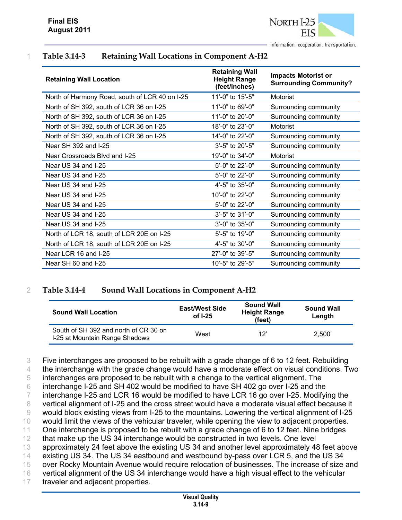

## 1 **Table 3.14-3 Retaining Wall Locations in Component A-H2**

| <b>Retaining Wall Location</b>                 | <b>Retaining Wall</b><br><b>Height Range</b><br>(feet/inches) | <b>Impacts Motorist or</b><br><b>Surrounding Community?</b> |
|------------------------------------------------|---------------------------------------------------------------|-------------------------------------------------------------|
| North of Harmony Road, south of LCR 40 on I-25 | 11'-0" to 15'-5"                                              | Motorist                                                    |
| North of SH 392, south of LCR 36 on I-25       | 11'-0" to 69'-0"                                              | Surrounding community                                       |
| North of SH 392, south of LCR 36 on I-25       | 11'-0" to 20'-0"                                              | Surrounding community                                       |
| North of SH 392, south of LCR 36 on I-25       | 18'-0" to 23'-0"                                              | Motorist                                                    |
| North of SH 392, south of LCR 36 on I-25       | 14'-0" to 22'-0"                                              | Surrounding community                                       |
| Near SH 392 and I-25                           | 3'-5" to 20'-5"                                               | Surrounding community                                       |
| Near Crossroads Blvd and I-25                  | 19'-0" to 34'-0"                                              | Motorist                                                    |
| Near US 34 and I-25                            | 5'-0" to 22'-0"                                               | Surrounding community                                       |
| Near US 34 and I-25                            | 5'-0" to 22'-0"                                               | Surrounding community                                       |
| Near US 34 and I-25                            | 4'-5" to 35'-0"                                               | Surrounding community                                       |
| Near US 34 and I-25                            | 10'-0" to 22'-0"                                              | Surrounding community                                       |
| Near US 34 and I-25                            | 5'-0" to 22'-0"                                               | Surrounding community                                       |
| Near US 34 and I-25                            | 3'-5" to 31'-0"                                               | Surrounding community                                       |
| Near US 34 and I-25                            | 3'-0" to 35'-0"                                               | Surrounding community                                       |
| North of LCR 18, south of LCR 20E on I-25      | 5'-5" to 19'-0"                                               | Surrounding community                                       |
| North of LCR 18, south of LCR 20E on I-25      | 4'-5" to 30'-0"                                               | Surrounding community                                       |
| Near LCR 16 and I-25                           | 27'-0" to 39'-5"                                              | Surrounding community                                       |
| Near SH 60 and I-25                            | 10'-5" to 29'-5"                                              | Surrounding community                                       |

#### 2 **Table 3.14-4 Sound Wall Locations in Component A-H2**

| <b>Sound Wall Location</b>                                              | <b>East/West Side</b><br>of $I-25$ | <b>Sound Wall</b><br><b>Height Range</b><br>(feet) | <b>Sound Wall</b><br>Length |
|-------------------------------------------------------------------------|------------------------------------|----------------------------------------------------|-----------------------------|
| South of SH 392 and north of CR 30 on<br>I-25 at Mountain Range Shadows | West                               | 12'                                                | 2.500                       |

 Five interchanges are proposed to be rebuilt with a grade change of 6 to 12 feet. Rebuilding 4 the interchange with the grade change would have a moderate effect on visual conditions. Two interchanges are proposed to be rebuilt with a change to the vertical alignment. The interchange I-25 and SH 402 would be modified to have SH 402 go over I-25 and the interchange I-25 and LCR 16 would be modified to have LCR 16 go over I-25. Modifying the vertical alignment of I-25 and the cross street would have a moderate visual effect because it would block existing views from I-25 to the mountains. Lowering the vertical alignment of I-25 would limit the views of the vehicular traveler, while opening the view to adjacent properties. 11 One interchange is proposed to be rebuilt with a grade change of 6 to 12 feet. Nine bridges that make up the US 34 interchange would be constructed in two levels. One level approximately 24 feet above the existing US 34 and another level approximately 48 feet above existing US 34. The US 34 eastbound and westbound by-pass over LCR 5, and the US 34 over Rocky Mountain Avenue would require relocation of businesses. The increase of size and vertical alignment of the US 34 interchange would have a high visual effect to the vehicular

17 traveler and adjacent properties.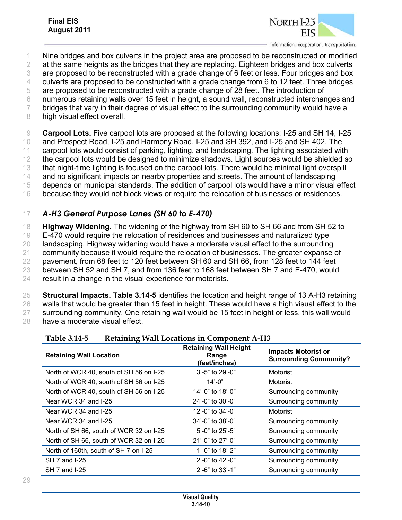

- 1 Nine bridges and box culverts in the project area are proposed to be reconstructed or modified
- 2 at the same heights as the bridges that they are replacing. Eighteen bridges and box culverts
- 3 are proposed to be reconstructed with a grade change of 6 feet or less. Four bridges and box
- 4 culverts are proposed to be constructed with a grade change from 6 to 12 feet. Three bridges
- 5 are proposed to be reconstructed with a grade change of 28 feet. The introduction of
- 6 numerous retaining walls over 15 feet in height, a sound wall, reconstructed interchanges and
- 7 bridges that vary in their degree of visual effect to the surrounding community would have a
- 8 high visual effect overall.

 **Carpool Lots.** Five carpool lots are proposed at the following locations: I-25 and SH 14, I-25 and Prospect Road, I-25 and Harmony Road, I-25 and SH 392, and I-25 and SH 402. The carpool lots would consist of parking, lighting, and landscaping. The lighting associated with 12 the carpool lots would be designed to minimize shadows. Light sources would be shielded so that night-time lighting is focused on the carpool lots. There would be minimal light overspill and no significant impacts on nearby properties and streets. The amount of landscaping depends on municipal standards. The addition of carpool lots would have a minor visual effect because they would not block views or require the relocation of businesses or residences.

# 17 *A-H3 General Purpose Lanes (SH 60 to E-470)*

 **Highway Widening.** The widening of the highway from SH 60 to SH 66 and from SH 52 to E-470 would require the relocation of residences and businesses and naturalized type landscaping. Highway widening would have a moderate visual effect to the surrounding community because it would require the relocation of businesses. The greater expanse of pavement, from 68 feet to 120 feet between SH 60 and SH 66, from 128 feet to 144 feet between SH 52 and SH 7, and from 136 feet to 168 feet between SH 7 and E-470, would result in a change in the visual experience for motorists.

 **Structural Impacts. Table 3.14-5** identifies the location and height range of 13 A-H3 retaining walls that would be greater than 15 feet in height. These would have a high visual effect to the surrounding community. One retaining wall would be 15 feet in height or less, this wall would have a moderate visual effect.

| 1 adie 5.14-5<br>Retaining wall Locations in Component A-H3 |                                                        |                                                             |  |
|-------------------------------------------------------------|--------------------------------------------------------|-------------------------------------------------------------|--|
| <b>Retaining Wall Location</b>                              | <b>Retaining Wall Height</b><br>Range<br>(feet/inches) | <b>Impacts Motorist or</b><br><b>Surrounding Community?</b> |  |
| North of WCR 40, south of SH 56 on I-25                     | 3'-5" to 29'-0"                                        | Motorist                                                    |  |
| North of WCR 40, south of SH 56 on I-25                     | $14' - 0''$                                            | Motorist                                                    |  |
| North of WCR 40, south of SH 56 on I-25                     | 14'-0" to 18'-0"                                       | Surrounding community                                       |  |
| Near WCR 34 and I-25                                        | $24' - 0''$ to 30'-0"                                  | Surrounding community                                       |  |
| Near WCR 34 and I-25                                        | 12'-0" to $34'$ -0"                                    | Motorist                                                    |  |
| Near WCR 34 and I-25                                        | 34'-0" to 38'-0"                                       | Surrounding community                                       |  |
| North of SH 66, south of WCR 32 on I-25                     | 5'-0" to 25'-5"                                        | Surrounding community                                       |  |
| North of SH 66, south of WCR 32 on I-25                     | 21'-0" to 27'-0"                                       | Surrounding community                                       |  |
| North of 160th, south of SH 7 on I-25                       | 1'-0" to 18'-2"                                        | Surrounding community                                       |  |
| SH 7 and I-25                                               | $2^{\prime}$ -0" to 42'-0"                             | Surrounding community                                       |  |
| SH 7 and I-25                                               | 2'-6" to 33'-1"                                        | Surrounding community                                       |  |

#### **Table 3.14-5 Retaining Wall Locations in Component A-H3**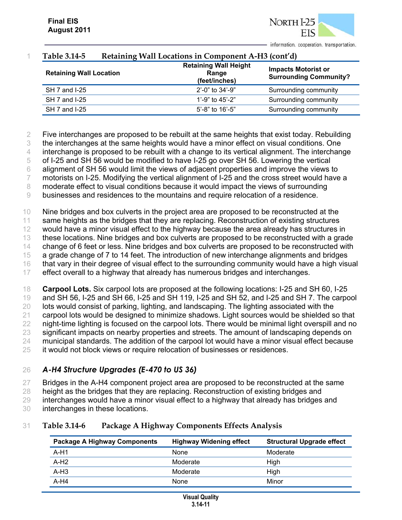NORTH<sub>I</sub>-25

| 1 apie 3.14-5                  | Retaining Wall Locations in Component A-H3 (cont d)    |                                                             |
|--------------------------------|--------------------------------------------------------|-------------------------------------------------------------|
| <b>Retaining Wall Location</b> | <b>Retaining Wall Height</b><br>Range<br>(feet/inches) | <b>Impacts Motorist or</b><br><b>Surrounding Community?</b> |
| SH 7 and I-25                  | $2^{\prime}$ -0" to 34'-9"                             | Surrounding community                                       |
| SH 7 and I-25                  | 1'-9" to $45'$ -2"                                     | Surrounding community                                       |
| SH 7 and I-25                  | $5'$ -8" to 16'-5"                                     | Surrounding community                                       |

#### 1 **Table 3.14-5 Retaining Wall Locations in Component A-H3 (cont'd)**

 Five interchanges are proposed to be rebuilt at the same heights that exist today. Rebuilding the interchanges at the same heights would have a minor effect on visual conditions. One interchange is proposed to be rebuilt with a change to its vertical alignment. The interchange of I-25 and SH 56 would be modified to have I-25 go over SH 56. Lowering the vertical alignment of SH 56 would limit the views of adjacent properties and improve the views to motorists on I-25. Modifying the vertical alignment of I-25 and the cross street would have a moderate effect to visual conditions because it would impact the views of surrounding businesses and residences to the mountains and require relocation of a residence. Nine bridges and box culverts in the project area are proposed to be reconstructed at the

11 same heights as the bridges that they are replacing. Reconstruction of existing structures 12 would have a minor visual effect to the highway because the area already has structures in 13 these locations. Nine bridges and box culverts are proposed to be reconstructed with a grade

14 change of 6 feet or less. Nine bridges and box culverts are proposed to be reconstructed with

15 a grade change of 7 to 14 feet. The introduction of new interchange alignments and bridges

16 that vary in their degree of visual effect to the surrounding community would have a high visual

17 effect overall to a highway that already has numerous bridges and interchanges.

 **Carpool Lots.** Six carpool lots are proposed at the following locations: I-25 and SH 60, I-25 and SH 56, I-25 and SH 66, I-25 and SH 119, I-25 and SH 52, and I-25 and SH 7. The carpool lots would consist of parking, lighting, and landscaping. The lighting associated with the carpool lots would be designed to minimize shadows. Light sources would be shielded so that 22 night-time lighting is focused on the carpool lots. There would be minimal light overspill and no 23 significant impacts on nearby properties and streets. The amount of landscaping depends on municipal standards. The addition of the carpool lot would have a minor visual effect because it would not block views or require relocation of businesses or residences.

# 26 *A-H4 Structure Upgrades (E-470 to US 36)*

27 Bridges in the A-H4 component project area are proposed to be reconstructed at the same

28 height as the bridges that they are replacing. Reconstruction of existing bridges and

29 interchanges would have a minor visual effect to a highway that already has bridges and

30 interchanges in these locations.

#### 31 **Table 3.14-6 Package A Highway Components Effects Analysis**

| <b>Package A Highway Components</b> | <b>Highway Widening effect</b> | <b>Structural Upgrade effect</b> |
|-------------------------------------|--------------------------------|----------------------------------|
| $A-H1$                              | None                           | Moderate                         |
| A-H <sub>2</sub>                    | Moderate                       | High                             |
| $A-H3$                              | Moderate                       | High                             |
| $A-H4$                              | None                           | Minor                            |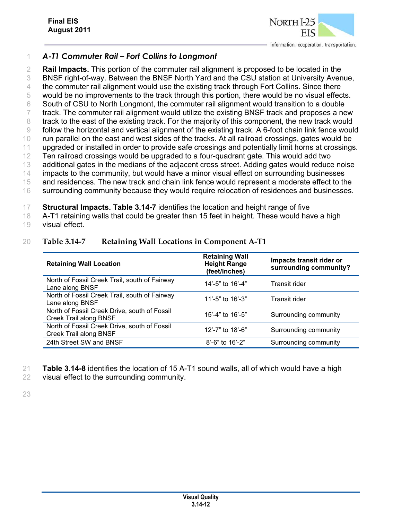

## 1 *A-T1 Commuter Rail – Fort Collins to Longmont*

 **Rail Impacts.** This portion of the commuter rail alignment is proposed to be located in the BNSF right-of-way. Between the BNSF North Yard and the CSU station at University Avenue, 4 the commuter rail alignment would use the existing track through Fort Collins. Since there would be no improvements to the track through this portion, there would be no visual effects. South of CSU to North Longmont, the commuter rail alignment would transition to a double 7 track. The commuter rail alignment would utilize the existing BNSF track and proposes a new 8 track to the east of the existing track. For the majority of this component, the new track would follow the horizontal and vertical alignment of the existing track. A 6-foot chain link fence would run parallel on the east and west sides of the tracks. At all railroad crossings, gates would be upgraded or installed in order to provide safe crossings and potentially limit horns at crossings. Ten railroad crossings would be upgraded to a four-quadrant gate. This would add two additional gates in the medians of the adjacent cross street. Adding gates would reduce noise 14 impacts to the community, but would have a minor visual effect on surrounding businesses and residences. The new track and chain link fence would represent a moderate effect to the 16 surrounding community because they would require relocation of residences and businesses.

17 **Structural Impacts. Table 3.14-7** identifies the location and height range of five

18 A-T1 retaining walls that could be greater than 15 feet in height. These would have a high

19 visual effect.

### 20 **Table 3.14-7 Retaining Wall Locations in Component A-T1**

| <b>Retaining Wall Location</b>                                         | <b>Retaining Wall</b><br><b>Height Range</b><br>(feet/inches) | Impacts transit rider or<br>surrounding community? |
|------------------------------------------------------------------------|---------------------------------------------------------------|----------------------------------------------------|
| North of Fossil Creek Trail, south of Fairway<br>Lane along BNSF       | 14'-5" to 16'-4"                                              | Transit rider                                      |
| North of Fossil Creek Trail, south of Fairway<br>Lane along BNSF       | 11'-5" to $16'$ -3"                                           | Transit rider                                      |
| North of Fossil Creek Drive, south of Fossil<br>Creek Trail along BNSF | 15'-4" to $16'$ -5"                                           | Surrounding community                              |
| North of Fossil Creek Drive, south of Fossil<br>Creek Trail along BNSF | 12'-7" to 18'-6"                                              | Surrounding community                              |
| 24th Street SW and BNSF                                                | $8'$ -6" to 16'-2"                                            | Surrounding community                              |

- 21 **Table 3.14-8** identifies the location of 15 A-T1 sound walls, all of which would have a high
- 22 visual effect to the surrounding community.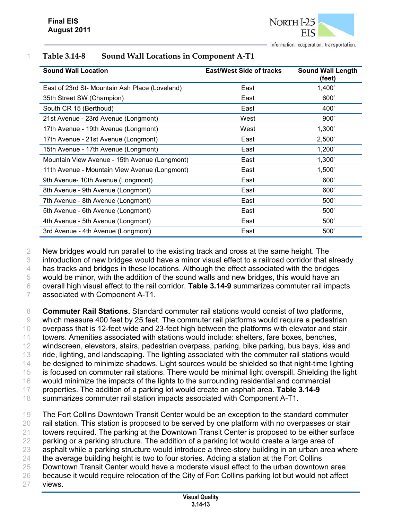

| <b>Sound Wall Location</b>                    | <b>East/West Side of tracks</b> | <b>Sound Wall Length</b><br>(feet) |
|-----------------------------------------------|---------------------------------|------------------------------------|
| East of 23rd St-Mountain Ash Place (Loveland) | East                            | 1,400'                             |
| 35th Street SW (Champion)                     | East                            | 600'                               |
| South CR 15 (Berthoud)                        | East                            | 400'                               |
| 21st Avenue - 23rd Avenue (Longmont)          | West                            | 900'                               |
| 17th Avenue - 19th Avenue (Longmont)          | West                            | 1,300'                             |
| 17th Avenue - 21st Avenue (Longmont)          | East                            | 2,500'                             |
| 15th Avenue - 17th Avenue (Longmont)          | East                            | 1,200'                             |
| Mountain View Avenue - 15th Avenue (Longmont) | East                            | 1,300'                             |
| 11th Avenue - Mountain View Avenue (Longmont) | East                            | 1,500'                             |
| 9th Avenue- 10th Avenue (Longmont)            | East                            | 600'                               |
| 8th Avenue - 9th Avenue (Longmont)            | East                            | 600'                               |
| 7th Avenue - 8th Avenue (Longmont)            | East                            | 500'                               |
| 5th Avenue - 6th Avenue (Longmont)            | East                            | 500'                               |
| 4th Avenue - 5th Avenue (Longmont)            | East                            | 500'                               |
| 3rd Avenue - 4th Avenue (Longmont)            | East                            | 500'                               |

#### 1 **Table 3.14-8 Sound Wall Locations in Component A-T1**

 New bridges would run parallel to the existing track and cross at the same height. The introduction of new bridges would have a minor visual effect to a railroad corridor that already 4 has tracks and bridges in these locations. Although the effect associated with the bridges would be minor, with the addition of the sound walls and new bridges, this would have an overall high visual effect to the rail corridor. **Table 3.14-9** summarizes commuter rail impacts associated with Component A-T1.

 **Commuter Rail Stations.** Standard commuter rail stations would consist of two platforms, which measure 400 feet by 25 feet. The commuter rail platforms would require a pedestrian overpass that is 12-feet wide and 23-feet high between the platforms with elevator and stair towers. Amenities associated with stations would include: shelters, fare boxes, benches, windscreen, elevators, stairs, pedestrian overpass, parking, bike parking, bus bays, kiss and ride, lighting, and landscaping. The lighting associated with the commuter rail stations would 14 be designed to minimize shadows. Light sources would be shielded so that night-time lighting is focused on commuter rail stations. There would be minimal light overspill. Shielding the light would minimize the impacts of the lights to the surrounding residential and commercial properties. The addition of a parking lot would create an asphalt area. **Table 3.14-9** summarizes commuter rail station impacts associated with Component A-T1.

 The Fort Collins Downtown Transit Center would be an exception to the standard commuter rail station. This station is proposed to be served by one platform with no overpasses or stair towers required. The parking at the Downtown Transit Center is proposed to be either surface 22 parking or a parking structure. The addition of a parking lot would create a large area of asphalt while a parking structure would introduce a three-story building in an urban area where the average building height is two to four stories. Adding a station at the Fort Collins Downtown Transit Center would have a moderate visual effect to the urban downtown area 26 because it would require relocation of the City of Fort Collins parking lot but would not affect 27 views.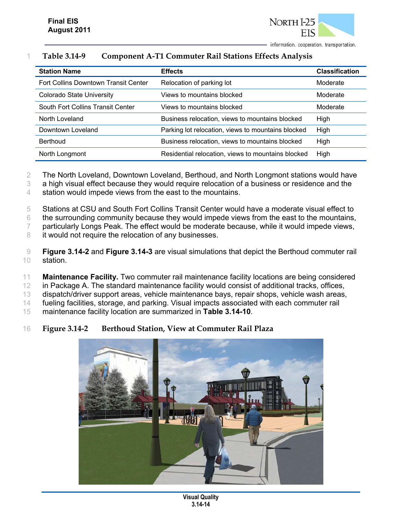

# 1 **Table 3.14-9 Component A-T1 Commuter Rail Stations Effects Analysis**

| <b>Station Name</b>                  | <b>Effects</b>                                     | <b>Classification</b> |
|--------------------------------------|----------------------------------------------------|-----------------------|
| Fort Collins Downtown Transit Center | Relocation of parking lot                          | Moderate              |
| <b>Colorado State University</b>     | Views to mountains blocked                         | Moderate              |
| South Fort Collins Transit Center    | Views to mountains blocked                         | Moderate              |
| North Loveland                       | Business relocation, views to mountains blocked    | High                  |
| Downtown Loveland                    | Parking lot relocation, views to mountains blocked | High                  |
| <b>Berthoud</b>                      | Business relocation, views to mountains blocked    | High                  |
| North Longmont                       | Residential relocation, views to mountains blocked | High                  |

2 The North Loveland, Downtown Loveland, Berthoud, and North Longmont stations would have

3 a high visual effect because they would require relocation of a business or residence and the

4 station would impede views from the east to the mountains.

5 Stations at CSU and South Fort Collins Transit Center would have a moderate visual effect to

6 the surrounding community because they would impede views from the east to the mountains,

7 particularly Longs Peak. The effect would be moderate because, while it would impede views,

8 it would not require the relocation of any businesses.

9 **Figure 3.14-2** and **Figure 3.14-3** are visual simulations that depict the Berthoud commuter rail 10 station.

11 **Maintenance Facility.** Two commuter rail maintenance facility locations are being considered

12 in Package A. The standard maintenance facility would consist of additional tracks, offices,

13 dispatch/driver support areas, vehicle maintenance bays, repair shops, vehicle wash areas,

14 fueling facilities, storage, and parking. Visual impacts associated with each commuter rail

15 maintenance facility location are summarized in **Table 3.14-10**.

#### 16 **Figure 3.14-2 Berthoud Station, View at Commuter Rail Plaza**



**Visual Quality 3.14-14**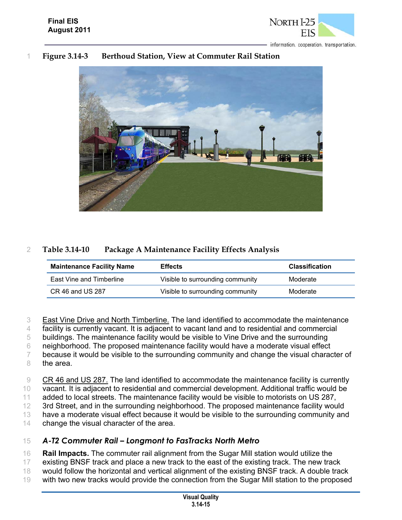

## 1 **Figure 3.14-3 Berthoud Station, View at Commuter Rail Station**



## 2 **Table 3.14-10 Package A Maintenance Facility Effects Analysis**

| <b>Maintenance Facility Name</b> | <b>Effects</b>                   | <b>Classification</b> |
|----------------------------------|----------------------------------|-----------------------|
| East Vine and Timberline         | Visible to surrounding community | Moderate              |
| CR 46 and US 287                 | Visible to surrounding community | Moderate              |

 East Vine Drive and North Timberline. The land identified to accommodate the maintenance facility is currently vacant. It is adjacent to vacant land and to residential and commercial buildings. The maintenance facility would be visible to Vine Drive and the surrounding neighborhood. The proposed maintenance facility would have a moderate visual effect 7 because it would be visible to the surrounding community and change the visual character of

8 the area.

9 CR 46 and US 287. The land identified to accommodate the maintenance facility is currently

10 vacant. It is adjacent to residential and commercial development. Additional traffic would be

11 added to local streets. The maintenance facility would be visible to motorists on US 287,

12 3rd Street, and in the surrounding neighborhood. The proposed maintenance facility would

13 have a moderate visual effect because it would be visible to the surrounding community and

14 change the visual character of the area.

#### 15 *A-T2 Commuter Rail – Longmont to FasTracks North Metro*

16 **Rail Impacts.** The commuter rail alignment from the Sugar Mill station would utilize the

- 17 existing BNSF track and place a new track to the east of the existing track. The new track
- 18 would follow the horizontal and vertical alignment of the existing BNSF track. A double track
- 19 with two new tracks would provide the connection from the Sugar Mill station to the proposed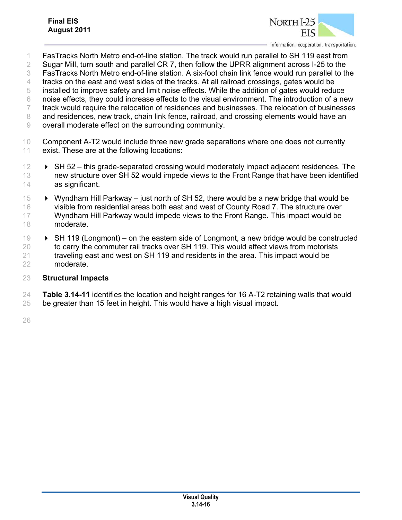

- FasTracks North Metro end-of-line station. The track would run parallel to SH 119 east from
- 2 Sugar Mill, turn south and parallel CR 7, then follow the UPRR alignment across I-25 to the
- FasTracks North Metro end-of-line station. A six-foot chain link fence would run parallel to the
- tracks on the east and west sides of the tracks. At all railroad crossings, gates would be
- installed to improve safety and limit noise effects. While the addition of gates would reduce
- noise effects, they could increase effects to the visual environment. The introduction of a new
- track would require the relocation of residences and businesses. The relocation of businesses
- and residences, new track, chain link fence, railroad, and crossing elements would have an
- overall moderate effect on the surrounding community.
- Component A-T2 would include three new grade separations where one does not currently exist. These are at the following locations:
- SH 52 this grade-separated crossing would moderately impact adjacent residences. The new structure over SH 52 would impede views to the Front Range that have been identified as significant.
- Wyndham Hill Parkway just north of SH 52, there would be a new bridge that would be visible from residential areas both east and west of County Road 7. The structure over Wyndham Hill Parkway would impede views to the Front Range. This impact would be moderate.
- SH 119 (Longmont) on the eastern side of Longmont, a new bridge would be constructed to carry the commuter rail tracks over SH 119. This would affect views from motorists 21 traveling east and west on SH 119 and residents in the area. This impact would be moderate.

#### **Structural Impacts**

 **Table 3.14-11** identifies the location and height ranges for 16 A-T2 retaining walls that would be greater than 15 feet in height. This would have a high visual impact.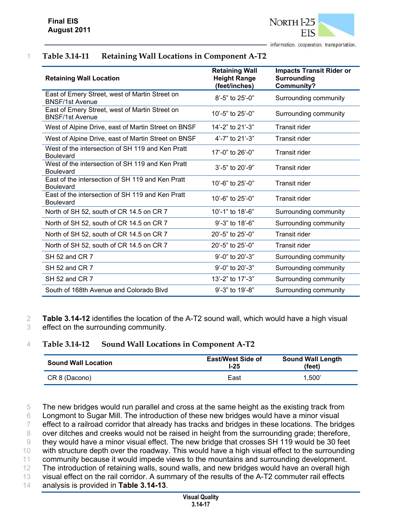# 1 **Table 3.14-11 Retaining Wall Locations in Component A-T2**

| <b>Retaining Wall Location</b>                                           | <b>Retaining Wall</b><br><b>Height Range</b><br>(feet/inches) | <b>Impacts Transit Rider or</b><br><b>Surrounding</b><br>Community? |
|--------------------------------------------------------------------------|---------------------------------------------------------------|---------------------------------------------------------------------|
| East of Emery Street, west of Martin Street on<br><b>BNSF/1st Avenue</b> | $8'$ -5" to 25'-0"                                            | Surrounding community                                               |
| East of Emery Street, west of Martin Street on<br><b>BNSF/1st Avenue</b> | 10'-5" to $25'$ -0"                                           | Surrounding community                                               |
| West of Alpine Drive, east of Martin Street on BNSF                      | 14'-2" to 21'-3"                                              | <b>Transit rider</b>                                                |
| West of Alpine Drive, east of Martin Street on BNSF                      | 4'-7" to 21'-3"                                               | <b>Transit rider</b>                                                |
| West of the intersection of SH 119 and Ken Pratt<br><b>Boulevard</b>     | 17'-0" to 26'-0"                                              | <b>Transit rider</b>                                                |
| West of the intersection of SH 119 and Ken Pratt<br><b>Boulevard</b>     | 3'-5" to 20'-9"                                               | <b>Transit rider</b>                                                |
| East of the intersection of SH 119 and Ken Pratt<br><b>Boulevard</b>     | 10'-6" to 25'-0"                                              | <b>Transit rider</b>                                                |
| East of the intersection of SH 119 and Ken Pratt<br><b>Boulevard</b>     | 10'-6" to 25'-0"                                              | <b>Transit rider</b>                                                |
| North of SH 52, south of CR 14.5 on CR 7                                 | 10'-1" to 18'-6"                                              | Surrounding community                                               |
| North of SH 52, south of CR 14.5 on CR 7                                 | 9'-3" to 18'-6"                                               | Surrounding community                                               |
| North of SH 52, south of CR 14.5 on CR 7                                 | 20'-5" to 25'-0"                                              | <b>Transit rider</b>                                                |
| North of SH 52, south of CR 14.5 on CR 7                                 | 20'-5" to 25'-0"                                              | <b>Transit rider</b>                                                |
| SH 52 and CR 7                                                           | $9'$ -0" to 20'-3"                                            | Surrounding community                                               |
| SH 52 and CR 7                                                           | 9'-0" to 20'-3"                                               | Surrounding community                                               |
| SH 52 and CR 7                                                           | 13'-2" to 17'-3"                                              | Surrounding community                                               |
| South of 168th Avenue and Colorado Blvd                                  | 9'-3" to 19'-8"                                               | Surrounding community                                               |

2 **Table 3.14-12** identifies the location of the A-T2 sound wall, which would have a high visual 3 effect on the surrounding community.

#### 4 **Table 3.14-12 Sound Wall Locations in Component A-T2**

| <b>Sound Wall Location</b> | <b>East/West Side of</b><br>$1-25$ | <b>Sound Wall Length</b><br>(feet) |  |
|----------------------------|------------------------------------|------------------------------------|--|
| CR 8 (Dacono)              | East                               | 1.500'                             |  |

 The new bridges would run parallel and cross at the same height as the existing track from Longmont to Sugar Mill. The introduction of these new bridges would have a minor visual effect to a railroad corridor that already has tracks and bridges in these locations. The bridges 8 over ditches and creeks would not be raised in height from the surrounding grade; therefore, they would have a minor visual effect. The new bridge that crosses SH 119 would be 30 feet 10 with structure depth over the roadway. This would have a high visual effect to the surrounding community because it would impede views to the mountains and surrounding development. 12 The introduction of retaining walls, sound walls, and new bridges would have an overall high visual effect on the rail corridor. A summary of the results of the A-T2 commuter rail effects

14 analysis is provided in **Table 3.14-13**.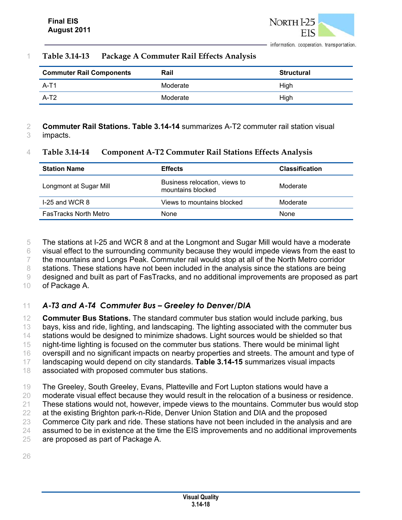#### 1 **Table 3.14-13 Package A Commuter Rail Effects Analysis**

| <b>Commuter Rail Components</b> | Rail     | <b>Structural</b> |
|---------------------------------|----------|-------------------|
| $A-T1$                          | Moderate | High              |
| $A-T2$                          | Moderate | High              |

# 2 **Commuter Rail Stations. Table 3.14-14** summarizes A-T2 commuter rail station visual

3 impacts.

#### 4 **Table 3.14-14 Component A-T2 Commuter Rail Stations Effects Analysis**

| <b>Station Name</b>          | <b>Effects</b>                                     | <b>Classification</b> |
|------------------------------|----------------------------------------------------|-----------------------|
| Longmont at Sugar Mill       | Business relocation, views to<br>mountains blocked | Moderate              |
| $1-25$ and WCR 8             | Views to mountains blocked                         | Moderate              |
| <b>FasTracks North Metro</b> | <b>None</b>                                        | None                  |

5 The stations at I-25 and WCR 8 and at the Longmont and Sugar Mill would have a moderate 6 visual effect to the surrounding community because they would impede views from the east to 7 the mountains and Longs Peak. Commuter rail would stop at all of the North Metro corridor 8 stations. These stations have not been included in the analysis since the stations are being 9 designed and built as part of FasTracks, and no additional improvements are proposed as part

10 of Package A.

# 11 *A-T3 and A-T4 Commuter Bus – Greeley to Denver/DIA*

 **Commuter Bus Stations.** The standard commuter bus station would include parking, bus bays, kiss and ride, lighting, and landscaping. The lighting associated with the commuter bus stations would be designed to minimize shadows. Light sources would be shielded so that night-time lighting is focused on the commuter bus stations. There would be minimal light overspill and no significant impacts on nearby properties and streets. The amount and type of landscaping would depend on city standards. **Table 3.14-15** summarizes visual impacts associated with proposed commuter bus stations.

 The Greeley, South Greeley, Evans, Platteville and Fort Lupton stations would have a moderate visual effect because they would result in the relocation of a business or residence. These stations would not, however, impede views to the mountains. Commuter bus would stop at the existing Brighton park-n-Ride, Denver Union Station and DIA and the proposed Commerce City park and ride. These stations have not been included in the analysis and are assumed to be in existence at the time the EIS improvements and no additional improvements are proposed as part of Package A.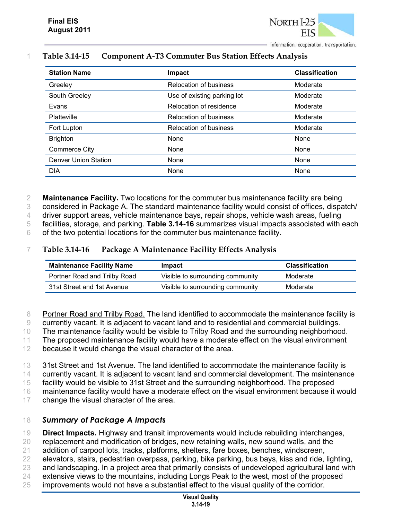

| <b>Station Name</b>         | Impact                        | <b>Classification</b> |
|-----------------------------|-------------------------------|-----------------------|
| Greeley                     | <b>Relocation of business</b> | Moderate              |
| South Greeley               | Use of existing parking lot   | Moderate              |
| Evans                       | Relocation of residence       | Moderate              |
| Platteville                 | <b>Relocation of business</b> | Moderate              |
| Fort Lupton                 | <b>Relocation of business</b> | Moderate              |
| <b>Brighton</b>             | None                          | None                  |
| <b>Commerce City</b>        | None                          | None                  |
| <b>Denver Union Station</b> | None                          | None                  |
| <b>DIA</b>                  | None                          | None                  |

#### 1 **Table 3.14-15 Component A-T3 Commuter Bus Station Effects Analysis**

2 **Maintenance Facility.** Two locations for the commuter bus maintenance facility are being

3 considered in Package A. The standard maintenance facility would consist of offices, dispatch/

4 driver support areas, vehicle maintenance bays, repair shops, vehicle wash areas, fueling

5 facilities, storage, and parking. **Table 3.14-16** summarizes visual impacts associated with each

6 of the two potential locations for the commuter bus maintenance facility.

#### 7 **Table 3.14-16 Package A Maintenance Facility Effects Analysis**

| <b>Maintenance Facility Name</b> | Impact                           | <b>Classification</b> |
|----------------------------------|----------------------------------|-----------------------|
| Portner Road and Trilby Road     | Visible to surrounding community | Moderate              |
| 31st Street and 1st Avenue       | Visible to surrounding community | Moderate              |

8 Portner Road and Trilby Road. The land identified to accommodate the maintenance facility is

9 currently vacant. It is adjacent to vacant land and to residential and commercial buildings.

10 The maintenance facility would be visible to Trilby Road and the surrounding neighborhood.

11 The proposed maintenance facility would have a moderate effect on the visual environment

12 because it would change the visual character of the area.

13 31st Street and 1st Avenue. The land identified to accommodate the maintenance facility is

14 currently vacant. It is adjacent to vacant land and commercial development. The maintenance

15 facility would be visible to 31st Street and the surrounding neighborhood. The proposed

16 maintenance facility would have a moderate effect on the visual environment because it would

17 change the visual character of the area.

## 18 *Summary of Package A Impacts*

19 **Direct Impacts.** Highway and transit improvements would include rebuilding interchanges,

20 replacement and modification of bridges, new retaining walls, new sound walls, and the

21 addition of carpool lots, tracks, platforms, shelters, fare boxes, benches, windscreen,

- 22 elevators, stairs, pedestrian overpass, parking, bike parking, bus bays, kiss and ride, lighting,
- 23 and landscaping. In a project area that primarily consists of undeveloped agricultural land with
- 24 extensive views to the mountains, including Longs Peak to the west, most of the proposed
- 25 improvements would not have a substantial effect to the visual quality of the corridor.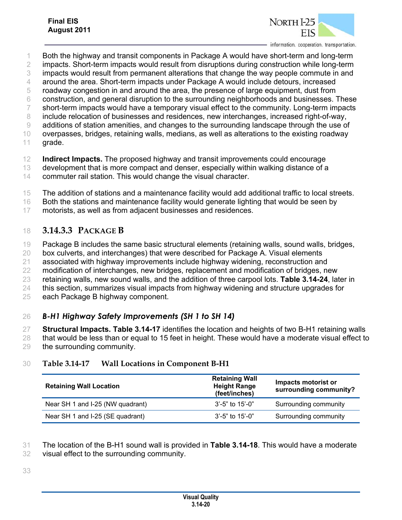

- Both the highway and transit components in Package A would have short-term and long-term
- impacts. Short-term impacts would result from disruptions during construction while long-term
- impacts would result from permanent alterations that change the way people commute in and
- around the area. Short-term impacts under Package A would include detours, increased
- roadway congestion in and around the area, the presence of large equipment, dust from
- construction, and general disruption to the surrounding neighborhoods and businesses. These short-term impacts would have a temporary visual effect to the community. Long-term impacts
- include relocation of businesses and residences, new interchanges, increased right-of-way,
- additions of station amenities, and changes to the surrounding landscape through the use of
- overpasses, bridges, retaining walls, medians, as well as alterations to the existing roadway grade.
- **Indirect Impacts.** The proposed highway and transit improvements could encourage
- development that is more compact and denser, especially within walking distance of a
- commuter rail station. This would change the visual character.
- The addition of stations and a maintenance facility would add additional traffic to local streets.
- Both the stations and maintenance facility would generate lighting that would be seen by
- motorists, as well as from adjacent businesses and residences.

# **3.14.3.3 PACKAGE B**

- Package B includes the same basic structural elements (retaining walls, sound walls, bridges,
- box culverts, and interchanges) that were described for Package A. Visual elements
- associated with highway improvements include highway widening, reconstruction and
- modification of interchanges, new bridges, replacement and modification of bridges, new
- retaining walls, new sound walls, and the addition of three carpool lots. **Table 3.14-24**, later in
- this section, summarizes visual impacts from highway widening and structure upgrades for
- each Package B highway component.

# *B-H1 Highway Safety Improvements (SH 1 to SH 14)*

 **Structural Impacts. Table 3.14-17** identifies the location and heights of two B-H1 retaining walls that would be less than or equal to 15 feet in height. These would have a moderate visual effect to the surrounding community.

# **Table 3.14-17 Wall Locations in Component B-H1**

| <b>Retaining Wall Location</b>   | <b>Retaining Wall</b><br><b>Height Range</b><br>(feet/inches) | Impacts motorist or<br>surrounding community? |  |
|----------------------------------|---------------------------------------------------------------|-----------------------------------------------|--|
| Near SH 1 and I-25 (NW quadrant) | $3'$ -5" to 15'-0"                                            | Surrounding community                         |  |
| Near SH 1 and I-25 (SE quadrant) | $3'$ -5" to 15'-0"                                            | Surrounding community                         |  |

- The location of the B-H1 sound wall is provided in **Table 3.14-18**. This would have a moderate
- visual effect to the surrounding community.
-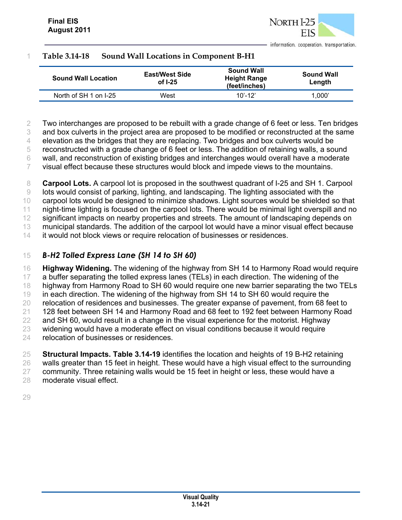### 1 **Table 3.14-18 Sound Wall Locations in Component B-H1**

| <b>Sound Wall Location</b> | <b>East/West Side</b><br>of $I-25$ | <b>Sound Wall</b><br><b>Height Range</b><br>(feet/inches) | <b>Sound Wall</b><br>Length |
|----------------------------|------------------------------------|-----------------------------------------------------------|-----------------------------|
| North of SH 1 on I-25      | West                               | $10' - 12'$                                               | 1.000'                      |

2 Two interchanges are proposed to be rebuilt with a grade change of 6 feet or less. Ten bridges

3 and box culverts in the project area are proposed to be modified or reconstructed at the same

4 elevation as the bridges that they are replacing. Two bridges and box culverts would be

5 reconstructed with a grade change of 6 feet or less. The addition of retaining walls, a sound

6 wall, and reconstruction of existing bridges and interchanges would overall have a moderate

7 visual effect because these structures would block and impede views to the mountains.

8 **Carpool Lots.** A carpool lot is proposed in the southwest quadrant of I-25 and SH 1. Carpool 9 lots would consist of parking, lighting, and landscaping. The lighting associated with the

10 carpool lots would be designed to minimize shadows. Light sources would be shielded so that

11 night-time lighting is focused on the carpool lots. There would be minimal light overspill and no 12 significant impacts on nearby properties and streets. The amount of landscaping depends on

13 municipal standards. The addition of the carpool lot would have a minor visual effect because

14 it would not block views or require relocation of businesses or residences.

# 15 *B-H2 Tolled Express Lane (SH 14 to SH 60)*

 **Highway Widening.** The widening of the highway from SH 14 to Harmony Road would require 17 a buffer separating the tolled express lanes (TELs) in each direction. The widening of the highway from Harmony Road to SH 60 would require one new barrier separating the two TELs in each direction. The widening of the highway from SH 14 to SH 60 would require the relocation of residences and businesses. The greater expanse of pavement, from 68 feet to 128 feet between SH 14 and Harmony Road and 68 feet to 192 feet between Harmony Road 22 and SH 60, would result in a change in the visual experience for the motorist. Highway widening would have a moderate effect on visual conditions because it would require relocation of businesses or residences.

 **Structural Impacts. Table 3.14-19** identifies the location and heights of 19 B-H2 retaining walls greater than 15 feet in height. These would have a high visual effect to the surrounding 27 community. Three retaining walls would be 15 feet in height or less, these would have a moderate visual effect.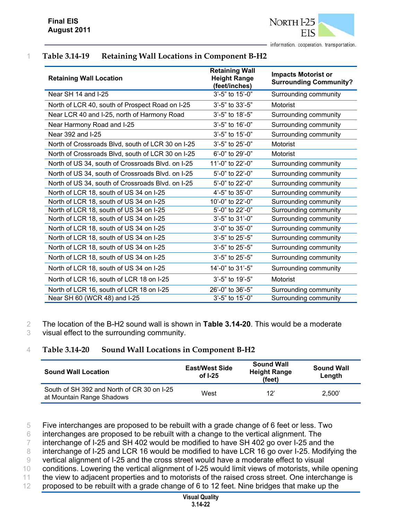

# 1 **Table 3.14-19 Retaining Wall Locations in Component B-H2**

| <b>Retaining Wall Location</b>                    | <b>Retaining Wall</b><br><b>Height Range</b><br>(feet/inches) | <b>Impacts Motorist or</b><br><b>Surrounding Community?</b> |
|---------------------------------------------------|---------------------------------------------------------------|-------------------------------------------------------------|
| Near SH 14 and I-25                               | 3'-5" to 15'-0"                                               | Surrounding community                                       |
| North of LCR 40, south of Prospect Road on I-25   | 3'-5" to 33'-5"                                               | Motorist                                                    |
| Near LCR 40 and I-25, north of Harmony Road       | 3'-5" to 18'-5"                                               | Surrounding community                                       |
| Near Harmony Road and I-25                        | 3'-5" to 16'-0"                                               | Surrounding community                                       |
| Near 392 and I-25                                 | 3'-5" to 15'-0"                                               | Surrounding community                                       |
| North of Crossroads Blvd, south of LCR 30 on I-25 | 3'-5" to 25'-0"                                               | Motorist                                                    |
| North of Crossroads Blvd, south of LCR 30 on I-25 | 6'-0" to 29'-0"                                               | Motorist                                                    |
| North of US 34, south of Crossroads Blvd. on I-25 | 11'-0" to 22'-0"                                              | Surrounding community                                       |
| North of US 34, south of Crossroads Blvd. on I-25 | 5'-0" to 22'-0"                                               | Surrounding community                                       |
| North of US 34, south of Crossroads Blvd. on I-25 | 5'-0" to 22'-0"                                               | Surrounding community                                       |
| North of LCR 18, south of US 34 on I-25           | 4'-5" to 35'-0"                                               | Surrounding community                                       |
| North of LCR 18, south of US 34 on I-25           | 10'-0" to 22'-0"                                              | Surrounding community                                       |
| North of LCR 18, south of US 34 on I-25           | 5'-0" to 22'-0"                                               | Surrounding community                                       |
| North of LCR 18, south of US 34 on I-25           | 3'-5" to 31'-0"                                               | Surrounding community                                       |
| North of LCR 18, south of US 34 on I-25           | 3'-0" to 35'-0"                                               | Surrounding community                                       |
| North of LCR 18, south of US 34 on I-25           | $3'-5$ " to $25'-5$ "                                         | Surrounding community                                       |
| North of LCR 18, south of US 34 on I-25           | 3'-5" to 25'-5"                                               | Surrounding community                                       |
| North of LCR 18, south of US 34 on I-25           | $3'-5$ " to $25'-5$ "                                         | Surrounding community                                       |
| North of LCR 18, south of US 34 on I-25           | 14'-0" to 31'-5"                                              | Surrounding community                                       |
| North of LCR 16, south of LCR 18 on I-25          | 3'-5" to 19'-5"                                               | Motorist                                                    |
| North of LCR 16, south of LCR 18 on I-25          | 26'-0" to 36'-5"                                              | Surrounding community                                       |
| Near SH 60 (WCR 48) and I-25                      | 3'-5" to 15'-0"                                               | Surrounding community                                       |

2 The location of the B-H2 sound wall is shown in **Table 3.14-20**. This would be a moderate

3 visual effect to the surrounding community.

#### 4 **Table 3.14-20 Sound Wall Locations in Component B-H2**

| <b>Sound Wall Location</b>                                              | <b>East/West Side</b><br>of $I-25$ | <b>Sound Wall</b><br><b>Height Range</b><br>(feet) | <b>Sound Wall</b><br>Length |
|-------------------------------------------------------------------------|------------------------------------|----------------------------------------------------|-----------------------------|
| South of SH 392 and North of CR 30 on I-25<br>at Mountain Range Shadows | West                               | 12'                                                | 2.500'                      |

5 Five interchanges are proposed to be rebuilt with a grade change of 6 feet or less. Two

6 interchanges are proposed to be rebuilt with a change to the vertical alignment. The

7 interchange of I-25 and SH 402 would be modified to have SH 402 go over I-25 and the

8 interchange of I-25 and LCR 16 would be modified to have LCR 16 go over I-25. Modifying the

9 vertical alignment of I-25 and the cross street would have a moderate effect to visual

10 conditions. Lowering the vertical alignment of I-25 would limit views of motorists, while opening

11 the view to adjacent properties and to motorists of the raised cross street. One interchange is

12 proposed to be rebuilt with a grade change of 6 to 12 feet. Nine bridges that make up the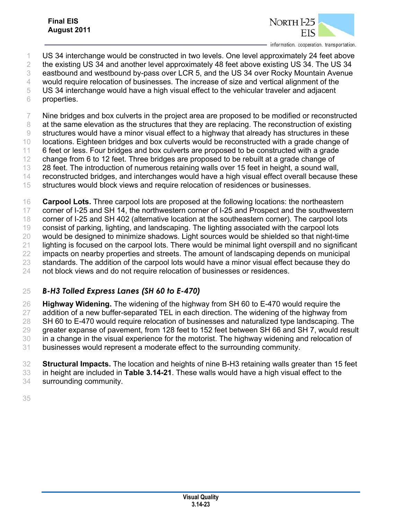

- US 34 interchange would be constructed in two levels. One level approximately 24 feet above
- the existing US 34 and another level approximately 48 feet above existing US 34. The US 34
- eastbound and westbound by-pass over LCR 5, and the US 34 over Rocky Mountain Avenue
- would require relocation of businesses. The increase of size and vertical alignment of the
- US 34 interchange would have a high visual effect to the vehicular traveler and adjacent
- properties.

 Nine bridges and box culverts in the project area are proposed to be modified or reconstructed 8 at the same elevation as the structures that they are replacing. The reconstruction of existing

- structures would have a minor visual effect to a highway that already has structures in these
- locations. Eighteen bridges and box culverts would be reconstructed with a grade change of
- 6 feet or less. Four bridges and box culverts are proposed to be constructed with a grade
- change from 6 to 12 feet. Three bridges are proposed to be rebuilt at a grade change of
- 28 feet. The introduction of numerous retaining walls over 15 feet in height, a sound wall,
- reconstructed bridges, and interchanges would have a high visual effect overall because these structures would block views and require relocation of residences or businesses.

**Carpool Lots.** Three carpool lots are proposed at the following locations: the northeastern

 corner of I-25 and SH 14, the northwestern corner of I-25 and Prospect and the southwestern corner of I-25 and SH 402 (alternative location at the southeastern corner). The carpool lots

consist of parking, lighting, and landscaping. The lighting associated with the carpool lots

- would be designed to minimize shadows. Light sources would be shielded so that night-time
- lighting is focused on the carpool lots. There would be minimal light overspill and no significant
- impacts on nearby properties and streets. The amount of landscaping depends on municipal
- 23 standards. The addition of the carpool lots would have a minor visual effect because they do

not block views and do not require relocation of businesses or residences.

# *B-H3 Tolled Express Lanes (SH 60 to E-470)*

 **Highway Widening.** The widening of the highway from SH 60 to E-470 would require the addition of a new buffer-separated TEL in each direction. The widening of the highway from 28 SH 60 to E-470 would require relocation of businesses and naturalized type landscaping. The greater expanse of pavement, from 128 feet to 152 feet between SH 66 and SH 7, would result in a change in the visual experience for the motorist. The highway widening and relocation of businesses would represent a moderate effect to the surrounding community.

 **Structural Impacts.** The location and heights of nine B-H3 retaining walls greater than 15 feet in height are included in **Table 3.14-21**. These walls would have a high visual effect to the surrounding community.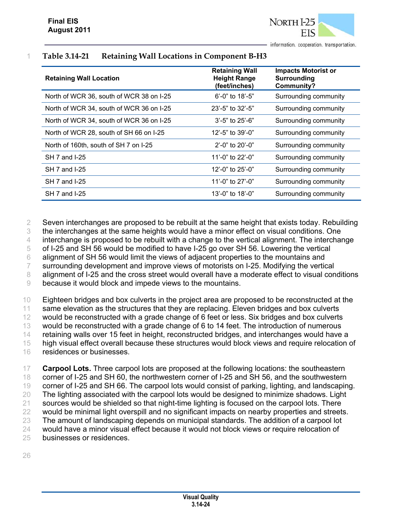

| <b>Retaining Wall Location</b>           | <b>Retaining Wall</b><br><b>Height Range</b><br>(feet/inches) | <b>Impacts Motorist or</b><br><b>Surrounding</b><br><b>Community?</b> |
|------------------------------------------|---------------------------------------------------------------|-----------------------------------------------------------------------|
| North of WCR 36, south of WCR 38 on I-25 | $6'$ -0" to 18'-5"                                            | Surrounding community                                                 |
| North of WCR 34, south of WCR 36 on I-25 | $23' - 5"$ to $32' - 5"$                                      | Surrounding community                                                 |
| North of WCR 34, south of WCR 36 on I-25 | $3'-5$ " to $25'-6$ "                                         | Surrounding community                                                 |
| North of WCR 28, south of SH 66 on I-25  | 12'-5" to $39'$ -0"                                           | Surrounding community                                                 |
| North of 160th, south of SH 7 on I-25    | $2^{\prime}$ -0" to 20'-0"                                    | Surrounding community                                                 |
| SH 7 and I-25                            | 11'-0" to 22'-0"                                              | Surrounding community                                                 |
| SH 7 and I-25                            | 12'-0" to $25'$ -0"                                           | Surrounding community                                                 |
| SH 7 and I-25                            | 11'-0" to 27'-0"                                              | Surrounding community                                                 |
| SH 7 and I-25                            | 13'-0" to $18'$ -0"                                           | Surrounding community                                                 |

## 1 **Table 3.14-21 Retaining Wall Locations in Component B-H3**

 Seven interchanges are proposed to be rebuilt at the same height that exists today. Rebuilding the interchanges at the same heights would have a minor effect on visual conditions. One interchange is proposed to be rebuilt with a change to the vertical alignment. The interchange of I-25 and SH 56 would be modified to have I-25 go over SH 56. Lowering the vertical alignment of SH 56 would limit the views of adjacent properties to the mountains and surrounding development and improve views of motorists on I-25. Modifying the vertical 8 alignment of I-25 and the cross street would overall have a moderate effect to visual conditions because it would block and impede views to the mountains.

10 Eighteen bridges and box culverts in the project area are proposed to be reconstructed at the 11 same elevation as the structures that they are replacing. Eleven bridges and box culverts 12 would be reconstructed with a grade change of 6 feet or less. Six bridges and box culverts 13 would be reconstructed with a grade change of 6 to 14 feet. The introduction of numerous 14 retaining walls over 15 feet in height, reconstructed bridges, and interchanges would have a 15 high visual effect overall because these structures would block views and require relocation of 16 residences or businesses.

 **Carpool Lots.** Three carpool lots are proposed at the following locations: the southeastern 18 corner of I-25 and SH 60, the northwestern corner of I-25 and SH 56, and the southwestern corner of I-25 and SH 66. The carpool lots would consist of parking, lighting, and landscaping. The lighting associated with the carpool lots would be designed to minimize shadows. Light sources would be shielded so that night-time lighting is focused on the carpool lots. There would be minimal light overspill and no significant impacts on nearby properties and streets. The amount of landscaping depends on municipal standards. The addition of a carpool lot would have a minor visual effect because it would not block views or require relocation of businesses or residences.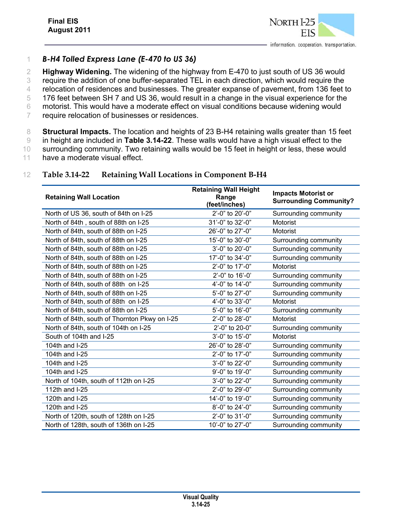

#### 1 *B-H4 Tolled Express Lane (E-470 to US 36)*

 **Highway Widening.** The widening of the highway from E-470 to just south of US 36 would require the addition of one buffer-separated TEL in each direction, which would require the 4 relocation of residences and businesses. The greater expanse of pavement, from 136 feet to 176 feet between SH 7 and US 36, would result in a change in the visual experience for the motorist. This would have a moderate effect on visual conditions because widening would require relocation of businesses or residences.

8 **Structural Impacts.** The location and heights of 23 B-H4 retaining walls greater than 15 feet 9 in height are included in **Table 3.14-22**. These walls would have a high visual effect to the 10 surrounding community. Two retaining walls would be 15 feet in height or less, these would

11 have a moderate visual effect.

#### 12 **Table 3.14-22 Retaining Wall Locations in Component B-H4**

| <b>Retaining Wall Location</b>                | <b>Retaining Wall Height</b><br>Range<br>(feet/inches) | <b>Impacts Motorist or</b><br><b>Surrounding Community?</b> |
|-----------------------------------------------|--------------------------------------------------------|-------------------------------------------------------------|
| North of US 36, south of 84th on I-25         | 2'-0" to 20'-0"                                        | Surrounding community                                       |
| North of 84th, south of 88th on I-25          | 31'-0" to 32'-0"                                       | Motorist                                                    |
| North of 84th, south of 88th on I-25          | 26'-0" to 27'-0"                                       | Motorist                                                    |
| North of 84th, south of 88th on I-25          | 15'-0" to 30'-0"                                       | Surrounding community                                       |
| North of 84th, south of 88th on I-25          | 3'-0" to 20'-0"                                        | Surrounding community                                       |
| North of 84th, south of 88th on I-25          | 17'-0" to 34'-0"                                       | Surrounding community                                       |
| North of 84th, south of 88th on I-25          | 2'-0" to 17'-0"                                        | Motorist                                                    |
| North of 84th, south of 88th on I-25          | 2'-0" to 16'-0'                                        | Surrounding community                                       |
| North of 84th, south of 88th on I-25          | 4'-0" to 14'-0"                                        | Surrounding community                                       |
| North of 84th, south of 88th on I-25          | 5'-0" to 27'-0"                                        | Surrounding community                                       |
| North of 84th, south of 88th on I-25          | 4'-0" to 33'-0"                                        | Motorist                                                    |
| North of 84th, south of 88th on I-25          | 5'-0" to 16'-0"                                        | Surrounding community                                       |
| North of 84th, south of Thornton Pkwy on I-25 | 2'-0" to 28'-0"                                        | Motorist                                                    |
| North of 84th, south of 104th on I-25         | 2'-0" to 20-0"                                         | Surrounding community                                       |
| South of 104th and I-25                       | 3'-0" to 15'-0"                                        | Motorist                                                    |
| 104th and I-25                                | 26'-0" to 28'-0"                                       | Surrounding community                                       |
| 104th and I-25                                | 2'-0" to 17'-0"                                        | Surrounding community                                       |
| 104th and I-25                                | 3'-0" to 22'-0"                                        | Surrounding community                                       |
| 104th and I-25                                | 9'-0" to 19'-0"                                        | Surrounding community                                       |
| North of 104th, south of 112th on I-25        | 3'-0" to 22'-0"                                        | Surrounding community                                       |
| 112th and I-25                                | 2'-0" to 29'-0"                                        | Surrounding community                                       |
| 120th and I-25                                | 14'-0" to 19'-0"                                       | Surrounding community                                       |
| 120th and I-25                                | 8'-0" to 24'-0"                                        | Surrounding community                                       |
| North of 120th, south of 128th on I-25        | 2'-0" to 31'-0"                                        | Surrounding community                                       |
| North of 128th, south of 136th on I-25        | 10'-0" to 27'-0"                                       | Surrounding community                                       |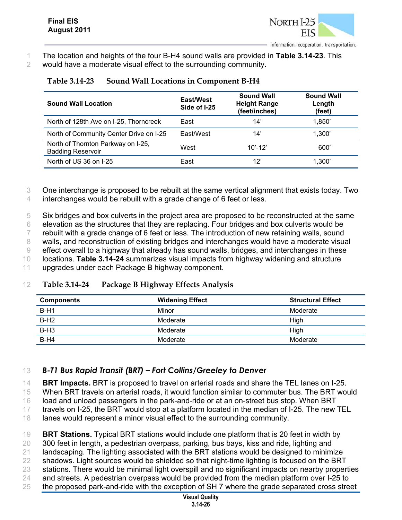

1 The location and heights of the four B-H4 sound walls are provided in **Table 3.14-23**. This 2 would have a moderate visual effect to the surrounding community.

| <b>Sound Wall Location</b>                                     | East/West<br>Side of I-25 | <b>Sound Wall</b><br><b>Height Range</b><br>(feet/inches) | <b>Sound Wall</b><br>Length<br>(feet) |
|----------------------------------------------------------------|---------------------------|-----------------------------------------------------------|---------------------------------------|
| North of 128th Ave on I-25, Thorncreek                         | East                      | 14'                                                       | 1.850'                                |
| North of Community Center Drive on I-25                        | East/West                 | 14'                                                       | 1,300'                                |
| North of Thornton Parkway on I-25,<br><b>Badding Reservoir</b> | West                      | $10' - 12'$                                               | 600'                                  |
| North of US 36 on I-25                                         | East                      | 12'                                                       | 1,300'                                |

### **Table 3.14-23 Sound Wall Locations in Component B-H4**

3 One interchange is proposed to be rebuilt at the same vertical alignment that exists today. Two 4 interchanges would be rebuilt with a grade change of 6 feet or less.

 Six bridges and box culverts in the project area are proposed to be reconstructed at the same elevation as the structures that they are replacing. Four bridges and box culverts would be rebuilt with a grade change of 6 feet or less. The introduction of new retaining walls, sound 8 walls, and reconstruction of existing bridges and interchanges would have a moderate visual effect overall to a highway that already has sound walls, bridges, and interchanges in these locations. **Table 3.14-24** summarizes visual impacts from highway widening and structure upgrades under each Package B highway component.

#### 12 **Table 3.14-24 Package B Highway Effects Analysis**

| <b>Components</b> | <b>Widening Effect</b> | <b>Structural Effect</b> |
|-------------------|------------------------|--------------------------|
| $B-H1$            | Minor                  | Moderate                 |
| $B-H2$            | Moderate               | High                     |
| $B-H3$            | Moderate               | High                     |
| $B-H4$            | Moderate               | Moderate                 |

## 13 *B-T1 Bus Rapid Transit (BRT) – Fort Collins/Greeley to Denver*

14 **BRT Impacts.** BRT is proposed to travel on arterial roads and share the TEL lanes on I-25.

15 When BRT travels on arterial roads, it would function similar to commuter bus. The BRT would

16 load and unload passengers in the park-and-ride or at an on-street bus stop. When BRT

17 travels on I-25, the BRT would stop at a platform located in the median of I-25. The new TEL

18 lanes would represent a minor visual effect to the surrounding community.

19 **BRT Stations.** Typical BRT stations would include one platform that is 20 feet in width by

- 20 300 feet in length, a pedestrian overpass, parking, bus bays, kiss and ride, lighting and
- 21 landscaping. The lighting associated with the BRT stations would be designed to minimize 22 shadows. Light sources would be shielded so that night-time lighting is focused on the BRT
- 23 stations. There would be minimal light overspill and no significant impacts on nearby properties
- 24 and streets. A pedestrian overpass would be provided from the median platform over I-25 to
- 25 the proposed park-and-ride with the exception of SH 7 where the grade separated cross street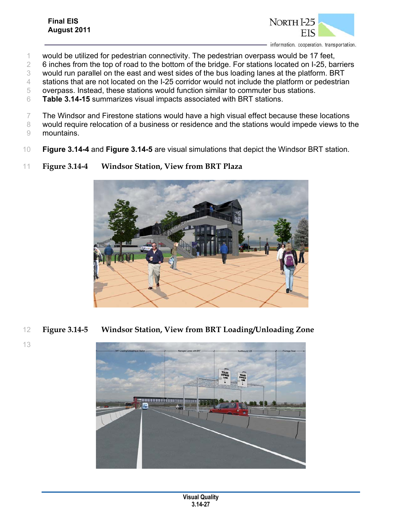### **Final EIS August 2011**



- 1 would be utilized for pedestrian connectivity. The pedestrian overpass would be 17 feet,
- 2 6 inches from the top of road to the bottom of the bridge. For stations located on I-25, barriers
- 3 would run parallel on the east and west sides of the bus loading lanes at the platform. BRT
- 4 stations that are not located on the I-25 corridor would not include the platform or pedestrian
- 5 overpass. Instead, these stations would function similar to commuter bus stations.
- 6 **Table 3.14-15** summarizes visual impacts associated with BRT stations.
- 7 The Windsor and Firestone stations would have a high visual effect because these locations
- 8 would require relocation of a business or residence and the stations would impede views to the 9 mountains.
- 10 **Figure 3.14-4** and **Figure 3.14-5** are visual simulations that depict the Windsor BRT station.
- 11 **Figure 3.14-4 Windsor Station, View from BRT Plaza**



- 12 **Figure 3.14-5 Windsor Station, View from BRT Loading/Unloading Zone** 
	-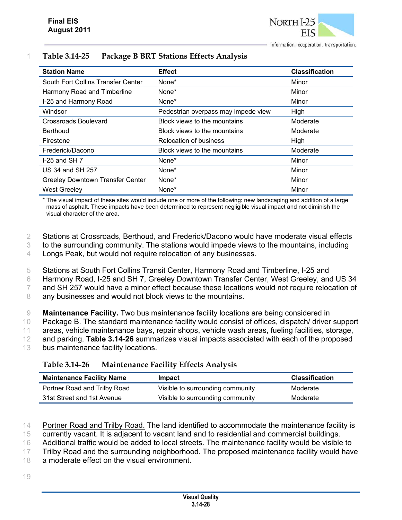| <b>Station Name</b>                     | <b>Effect</b>                       | <b>Classification</b> |
|-----------------------------------------|-------------------------------------|-----------------------|
| South Fort Collins Transfer Center      | None*                               | Minor                 |
| Harmony Road and Timberline             | None*                               | Minor                 |
| I-25 and Harmony Road                   | None*                               | Minor                 |
| Windsor                                 | Pedestrian overpass may impede view | High                  |
| Crossroads Boulevard                    | Block views to the mountains        | Moderate              |
| Berthoud                                | Block views to the mountains        | Moderate              |
| Firestone                               | <b>Relocation of business</b>       | High                  |
| Frederick/Dacono                        | Block views to the mountains        | Moderate              |
| $1-25$ and SH $7$                       | None*                               | Minor                 |
| US 34 and SH 257                        | None*                               | Minor                 |
| <b>Greeley Downtown Transfer Center</b> | None*                               | Minor                 |
| <b>West Greeley</b>                     | None*                               | Minor                 |

#### 1 **Table 3.14-25 Package B BRT Stations Effects Analysis**

\* The visual impact of these sites would include one or more of the following: new landscaping and addition of a large mass of asphalt. These impacts have been determined to represent negligible visual impact and not diminish the visual character of the area.

2 Stations at Crossroads, Berthoud, and Frederick/Dacono would have moderate visual effects

3 to the surrounding community. The stations would impede views to the mountains, including

4 Longs Peak, but would not require relocation of any businesses.

5 Stations at South Fort Collins Transit Center, Harmony Road and Timberline, I-25 and

6 Harmony Road, I-25 and SH 7, Greeley Downtown Transfer Center, West Greeley, and US 34

7 and SH 257 would have a minor effect because these locations would not require relocation of

8 any businesses and would not block views to the mountains.

 **Maintenance Facility.** Two bus maintenance facility locations are being considered in Package B. The standard maintenance facility would consist of offices, dispatch/ driver support areas, vehicle maintenance bays, repair shops, vehicle wash areas, fueling facilities, storage, and parking. **Table 3.14-26** summarizes visual impacts associated with each of the proposed 13 bus maintenance facility locations.

#### **Table 3.14-26 Maintenance Facility Effects Analysis**

| <b>Maintenance Facility Name</b> | Impact                           | <b>Classification</b> |
|----------------------------------|----------------------------------|-----------------------|
| Portner Road and Trilby Road     | Visible to surrounding community | Moderate              |
| 31st Street and 1st Avenue       | Visible to surrounding community | Moderate              |

14 Portner Road and Trilby Road. The land identified to accommodate the maintenance facility is

15 currently vacant. It is adjacent to vacant land and to residential and commercial buildings.

16 Additional traffic would be added to local streets. The maintenance facility would be visible to

17 Trilby Road and the surrounding neighborhood. The proposed maintenance facility would have

18 a moderate effect on the visual environment.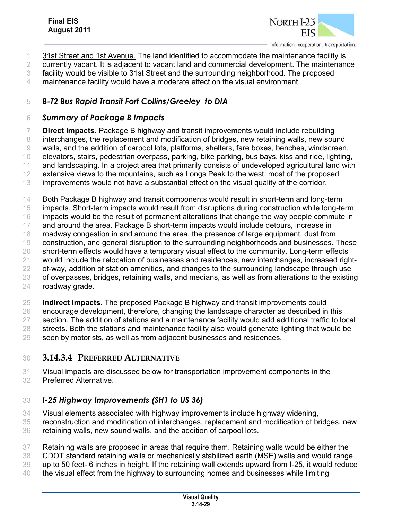

- 31st Street and 1st Avenue. The land identified to accommodate the maintenance facility is
- currently vacant. It is adjacent to vacant land and commercial development. The maintenance
- facility would be visible to 31st Street and the surrounding neighborhood. The proposed
- maintenance facility would have a moderate effect on the visual environment.

## *B-T2 Bus Rapid Transit Fort Collins/Greeley to DIA*

#### *Summary of Package B Impacts*

 **Direct Impacts.** Package B highway and transit improvements would include rebuilding interchanges, the replacement and modification of bridges, new retaining walls, new sound walls, and the addition of carpool lots, platforms, shelters, fare boxes, benches, windscreen, elevators, stairs, pedestrian overpass, parking, bike parking, bus bays, kiss and ride, lighting, 11 and landscaping. In a project area that primarily consists of undeveloped agricultural land with extensive views to the mountains, such as Longs Peak to the west, most of the proposed improvements would not have a substantial effect on the visual quality of the corridor.

 Both Package B highway and transit components would result in short-term and long-term impacts. Short-term impacts would result from disruptions during construction while long-term 16 impacts would be the result of permanent alterations that change the way people commute in 17 and around the area. Package B short-term impacts would include detours, increase in roadway congestion in and around the area, the presence of large equipment, dust from construction, and general disruption to the surrounding neighborhoods and businesses. These short-term effects would have a temporary visual effect to the community. Long-term effects would include the relocation of businesses and residences, new interchanges, increased right- of-way, addition of station amenities, and changes to the surrounding landscape through use of overpasses, bridges, retaining walls, and medians, as well as from alterations to the existing roadway grade.

 **Indirect Impacts.** The proposed Package B highway and transit improvements could encourage development, therefore, changing the landscape character as described in this section. The addition of stations and a maintenance facility would add additional traffic to local 28 streets. Both the stations and maintenance facility also would generate lighting that would be

seen by motorists, as well as from adjacent businesses and residences.

### **3.14.3.4 PREFERRED ALTERNATIVE**

- Visual impacts are discussed below for transportation improvement components in the
- Preferred Alternative.

## *I-25 Highway Improvements (SH1 to US 36)*

- Visual elements associated with highway improvements include highway widening,
- reconstruction and modification of interchanges, replacement and modification of bridges, new retaining walls, new sound walls, and the addition of carpool lots.
- Retaining walls are proposed in areas that require them. Retaining walls would be either the
- CDOT standard retaining walls or mechanically stabilized earth (MSE) walls and would range
- up to 50 feet- 6 inches in height. If the retaining wall extends upward from I-25, it would reduce
- the visual effect from the highway to surrounding homes and businesses while limiting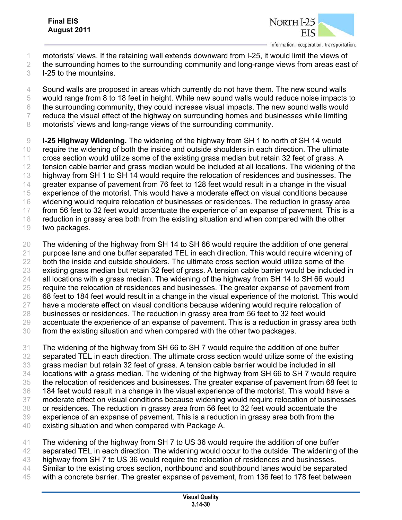

- motorists' views. If the retaining wall extends downward from I-25, it would limit the views of
- 2 the surrounding homes to the surrounding community and long-range views from areas east of
- I-25 to the mountains.
- Sound walls are proposed in areas which currently do not have them. The new sound walls
- would range from 8 to 18 feet in height. While new sound walls would reduce noise impacts to
- the surrounding community, they could increase visual impacts. The new sound walls would 7 reduce the visual effect of the highway on surrounding homes and businesses while limiting
- 8 motorists' views and long-range views of the surrounding community.
- **I-25 Highway Widening.** The widening of the highway from SH 1 to north of SH 14 would require the widening of both the inside and outside shoulders in each direction. The ultimate cross section would utilize some of the existing grass median but retain 32 feet of grass. A tension cable barrier and grass median would be included at all locations. The widening of the highway from SH 1 to SH 14 would require the relocation of residences and businesses. The 14 greater expanse of pavement from 76 feet to 128 feet would result in a change in the visual experience of the motorist. This would have a moderate effect on visual conditions because widening would require relocation of businesses or residences. The reduction in grassy area from 56 feet to 32 feet would accentuate the experience of an expanse of pavement. This is a reduction in grassy area both from the existing situation and when compared with the other two packages.
- The widening of the highway from SH 14 to SH 66 would require the addition of one general 21 purpose lane and one buffer separated TEL in each direction. This would require widening of both the inside and outside shoulders. The ultimate cross section would utilize some of the existing grass median but retain 32 feet of grass. A tension cable barrier would be included in all locations with a grass median. The widening of the highway from SH 14 to SH 66 would require the relocation of residences and businesses. The greater expanse of pavement from 68 feet to 184 feet would result in a change in the visual experience of the motorist. This would 27 have a moderate effect on visual conditions because widening would require relocation of businesses or residences. The reduction in grassy area from 56 feet to 32 feet would accentuate the experience of an expanse of pavement. This is a reduction in grassy area both from the existing situation and when compared with the other two packages.
- The widening of the highway from SH 66 to SH 7 would require the addition of one buffer separated TEL in each direction. The ultimate cross section would utilize some of the existing grass median but retain 32 feet of grass. A tension cable barrier would be included in all locations with a grass median. The widening of the highway from SH 66 to SH 7 would require the relocation of residences and businesses. The greater expanse of pavement from 68 feet to 184 feet would result in a change in the visual experience of the motorist. This would have a moderate effect on visual conditions because widening would require relocation of businesses or residences. The reduction in grassy area from 56 feet to 32 feet would accentuate the experience of an expanse of pavement. This is a reduction in grassy area both from the existing situation and when compared with Package A.
- The widening of the highway from SH 7 to US 36 would require the addition of one buffer 42 separated TEL in each direction. The widening would occur to the outside. The widening of the highway from SH 7 to US 36 would require the relocation of residences and businesses. 44 Similar to the existing cross section, northbound and southbound lanes would be separated with a concrete barrier. The greater expanse of pavement, from 136 feet to 178 feet between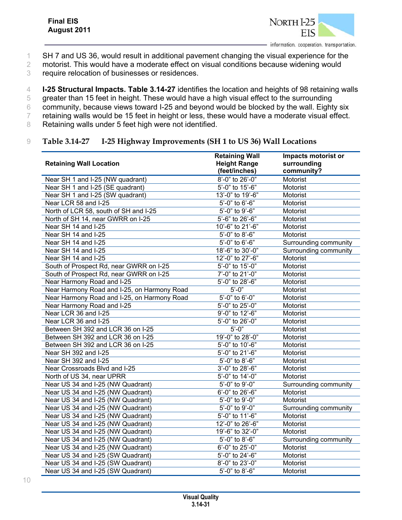- 1 SH 7 and US 36, would result in additional pavement changing the visual experience for the
- 2 motorist. This would have a moderate effect on visual conditions because widening would
- 3 require relocation of businesses or residences.
- 4 **I-25 Structural Impacts. Table 3.14-27** identifies the location and heights of 98 retaining walls
- 5 greater than 15 feet in height. These would have a high visual effect to the surrounding
- 6 community, because views toward I-25 and beyond would be blocked by the wall. Eighty six
- 7 retaining walls would be 15 feet in height or less, these would have a moderate visual effect.
- 8 Retaining walls under 5 feet high were not identified.

#### 9 **Table 3.14-27 I-25 Highway Improvements (SH 1 to US 36) Wall Locations**

|                                             | <b>Retaining Wall</b>          | Impacts motorist or   |
|---------------------------------------------|--------------------------------|-----------------------|
| <b>Retaining Wall Location</b>              | <b>Height Range</b>            | surrounding           |
|                                             | (feet/inches)                  | community?            |
| Near SH 1 and I-25 (NW quadrant)            | 8'-0" to 26'-0"                | Motorist              |
| Near SH 1 and I-25 (SE quadrant)            | 5'-0" to 15'-6"                | Motorist              |
| Near SH 1 and I-25 (SW quadrant)            | 13'-0" to 19'-6"               | Motorist              |
| Near LCR 58 and I-25                        | 5'-0" to 6'-6"                 | Motorist              |
| North of LCR 58, south of SH and I-25       | 5'-0" to 9'-6"                 | Motorist              |
| North of SH 14, near GWRR on I-25           | 5'-6" to 26'-6"                | Motorist              |
| Near SH 14 and I-25                         | 10'-6" to 21'-6"               | Motorist              |
| Near SH 14 and I-25                         | 5'-0" to 8'-6"                 | Motorist              |
| Near SH 14 and I-25                         | 5'-0" to 6'-6"                 | Surrounding community |
| Near SH 14 and I-25                         | 18'-6" to 30'-0"               | Surrounding community |
| Near SH 14 and I-25                         | 12'-0" to 27'-6"               | Motorist              |
| South of Prospect Rd, near GWRR on I-25     | 5'-0" to 15'-0"                | Motorist              |
| South of Prospect Rd, near GWRR on I-25     | 7'-0" to 21'-0"                | Motorist              |
| Near Harmony Road and I-25                  | 5'-0" to 28'-6"                | Motorist              |
| Near Harmony Road and I-25, on Harmony Road | $5'-0''$                       | Motorist              |
| Near Harmony Road and I-25, on Harmony Road | 5'-0" to 6'-0"                 | Motorist              |
| Near Harmony Road and I-25                  | 5'-0" to 25'-0"                | Motorist              |
| Near LCR 36 and I-25                        | 9'-0" to 12'-6"                | Motorist              |
| Near LCR 36 and I-25                        | 5'-0" to 26'-0"                | Motorist              |
| Between SH 392 and LCR 36 on I-25           | $5'-0''$                       | Motorist              |
| Between SH 392 and LCR 36 on I-25           | 19'-0" to 28'-0"               | Motorist              |
| Between SH 392 and LCR 36 on I-25           | $\overline{5'}$ -0" to 10'-6"  | Motorist              |
| Near SH 392 and I-25                        | 5'-0" to 21'-6"                | Motorist              |
| Near SH 392 and I-25                        | $5'-0''$ to 8'-6"              | Motorist              |
| Near Crossroads Blvd and I-25               | 3'-0" to 28'-6"                | Motorist              |
| North of US 34, near UPRR                   | 5'-0" to 14'-0"                | Motorist              |
| Near US 34 and I-25 (NW Quadrant)           | 5'-0" to 9'-0"                 | Surrounding community |
| Near US 34 and I-25 (NW Quadrant)           | 6'-0" to 26'-6"                | Motorist              |
| Near US 34 and I-25 (NW Quadrant)           | $\overline{5' - 0}$ " to 9'-0" | Motorist              |
| Near US 34 and I-25 (NW Quadrant)           | 5'-0" to 9'-0"                 | Surrounding community |
| Near US 34 and I-25 (NW Quadrant)           | 5'-0" to 11'-6"                | Motorist              |
| Near US 34 and I-25 (NW Quadrant)           | 12'-0" to 26'-6"               | Motorist              |
| Near US 34 and I-25 (NW Quadrant)           | 19'-6" to 32'-0"               | Motorist              |
| Near US 34 and I-25 (NW Quadrant)           | 5'-0" to 8'-6"                 | Surrounding community |
| Near US 34 and I-25 (NW Quadrant)           | 6'-0" to 25'-0"                | Motorist              |
| Near US 34 and I-25 (SW Quadrant)           | 5'-0" to 24'-6"                | Motorist              |
| Near US 34 and I-25 (SW Quadrant)           | 8'-0" to 23'-0"                | Motorist              |
| Near US 34 and I-25 (SW Quadrant)           | 5'-0" to 8'-6"                 | Motorist              |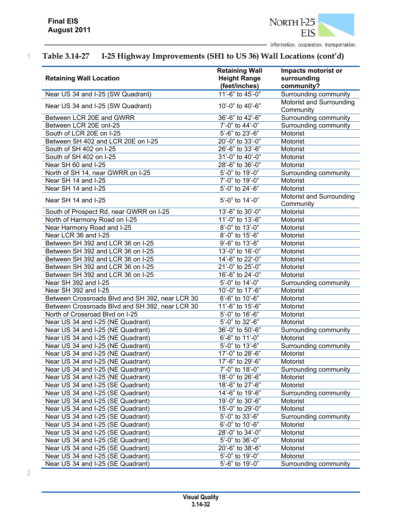

# 1 **Table 3.14-27 I-25 Highway Improvements (SH1 to US 36) Wall Locations (cont'd)**

|                                                 | <b>Retaining Wall</b> | Impacts motorist or                   |
|-------------------------------------------------|-----------------------|---------------------------------------|
| <b>Retaining Wall Location</b>                  | <b>Height Range</b>   | surrounding                           |
|                                                 | (feet/inches)         | community?                            |
| Near US 34 and I-25 (SW Quadrant)               | 11'-6" to 45'-0"      | Surrounding community                 |
| Near US 34 and I-25 (SW Quadrant)               | 10'-0" to 40'-6"      | Motorist and Surrounding<br>Community |
| Between LCR 20E and GWRR                        | 36'-6" to 42'-6"      | Surrounding community                 |
| Between LCR 20E onl-25                          | 7'-0" to 44'-0"       | Surrounding community                 |
| South of LCR 20E on I-25                        | 5'-6" to 23'-6"       | Motorist                              |
| Between SH 402 and LCR 20E on I-25              | 20'-0" to 33'-0"      | Motorist                              |
| South of SH 402 on I-25                         | 26'-6" to 33'-6"      | Motorist                              |
| South of SH 402 on I-25                         | 31'-0" to 40'-0"      | Motorist                              |
| Near SH 60 and I-25                             | 28'-6" to 36'-0"      | Motorist                              |
| North of SH 14, near GWRR on I-25               | 5'-0" to 19'-0"       | Surrounding community                 |
| Near SH 14 and I-25                             | 7'-0" to 19'-0"       | Motorist                              |
| Near SH 14 and I-25                             | 5'-0" to 24'-6"       | Motorist                              |
| Near SH 14 and I-25                             | 5'-0" to 14'-0"       | Motorist and Surrounding              |
|                                                 |                       | Community                             |
| South of Prospect Rd, near GWRR on I-25         | 13'-6" to 30'-0"      | Motorist                              |
| North of Harmony Road on I-25                   | 11'-0" to 13'-6"      | Motorist                              |
| Near Harmony Road and I-25                      | 8'-0" to 13'-0"       | Motorist                              |
| Near LCR 36 and I-25                            | 8'-0" to 15'-6"       | Motorist                              |
| Between SH 392 and LCR 36 on I-25               | 9'-6" to 13'-6"       | Motorist                              |
| Between SH 392 and LCR 36 on I-25               | 13'-0" to 16'-0"      | Motorist                              |
| Between SH 392 and LCR 36 on I-25               | 14'-6" to 22'-0"      | Motorist                              |
| Between SH 392 and LCR 36 on I-25               | 21'-0" to 25'-0"      | Motorist                              |
| Between SH 392 and LCR 36 on I-25               | 16'-6" to 24'-0"      | Motorist                              |
| Near SH 392 and I-25                            | 5'-0" to 14'-0"       | Surrounding community                 |
| Near SH 392 and I-25                            | 10'-0" to 17'-6"      | Motorist                              |
| Between Crossroads Blvd and SH 392, near LCR 30 | 6'-6" to 10'-6"       | Motorist                              |
| Between Crossroads Blvd and SH 392, near LCR 30 | 11'-6" to 15'-6"      | Motorist                              |
| North of Crossroad Blvd on I-25                 | 5'-0" to 16'-6"       | Motorist                              |
| Near US 34 and I-25 (NE Quadrant)               | 5'-0" to 32'-6"       | Motorist                              |
| Near US 34 and I-25 (NE Quadrant)               | 36'-0" to 50'-6"      | Surrounding community                 |
| Near US 34 and I-25 (NE Quadrant)               | 6'-6" to 11'-0"       | Motorist                              |
| Near US 34 and I-25 (NE Quadrant)               | 5'-0" to 13'-6"       | Surrounding community                 |
| Near US 34 and I-25 (NE Quadrant)               | 17'-0" to 28'-6"      | Motorist                              |
| Near US 34 and I-25 (NE Quadrant)               | 17'-6" to 29'-6"      | Motorist                              |
| Near US 34 and I-25 (NE Quadrant)               | 7'-0" to 18'-0"       | Surrounding community                 |
| Near US 34 and I-25 (NE Quadrant)               | 18'-0" to 26'-6"      | Motorist                              |
| Near US 34 and I-25 (SE Quadrant)               | 18'-6" to 27'-6"      | Motorist                              |
| Near US 34 and I-25 (SE Quadrant)               | 14'-6" to 19'-6"      | Surrounding community                 |
| Near US 34 and I-25 (SE Quadrant)               | 19'-0" to 30'-6"      | Motorist                              |
| Near US 34 and I-25 (SE Quadrant)               | 15'-0" to 29'-0"      | Motorist                              |
| Near US 34 and I-25 (SE Quadrant)               | 5'-0" to 33'-6"       | Surrounding community                 |
| Near US 34 and I-25 (SE Quadrant)               | 6'-0" to 10'-6"       | Motorist                              |
| Near US 34 and I-25 (SE Quadrant)               | 28'-0" to 34'-0"      | Motorist                              |
| Near US 34 and I-25 (SE Quadrant)               | 5'-0" to 36'-0"       | Motorist                              |
| Near US 34 and I-25 (SE Quadrant)               | 20'-6" to 38'-6"      | Motorist                              |
| Near US 34 and I-25 (SE Quadrant)               | 5'-0" to 19'-0"       | Motorist                              |
| Near US 34 and I-25 (SE Quadrant)               | 5'-6" to 19'-0"       | Surrounding community                 |

<sup>2</sup>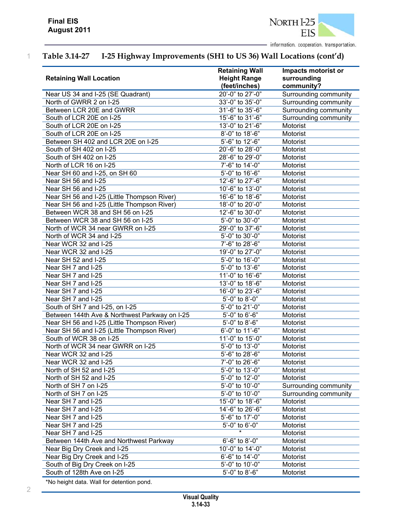

# 1 **Table 3.14-27 I-25 Highway Improvements (SH1 to US 36) Wall Locations (cont'd)**

|                                               | <b>Retaining Wall</b> | Impacts motorist or   |
|-----------------------------------------------|-----------------------|-----------------------|
| <b>Retaining Wall Location</b>                | <b>Height Range</b>   | surrounding           |
|                                               | (feet/inches)         | community?            |
| Near US 34 and I-25 (SE Quadrant)             | 20'-0" to 27'-0"      | Surrounding community |
| North of GWRR 2 on I-25                       | 33'-0" to 35'-0"      | Surrounding community |
| Between LCR 20E and GWRR                      | 31'-6" to 35'-6"      | Surrounding community |
| South of LCR 20E on I-25                      | 15'-6" to 31'-6"      | Surrounding community |
| South of LCR 20E on I-25                      | 13'-0" to 21'-6"      | Motorist              |
| South of LCR 20E on I-25                      | 8'-0" to 18'-6"       | Motorist              |
| Between SH 402 and LCR 20E on I-25            | 5'-6" to 12'-6"       | Motorist              |
| South of SH 402 on I-25                       | 20'-6" to 28'-0"      | Motorist              |
| South of SH 402 on I-25                       | 28'-6" to 29'-0"      | Motorist              |
| North of LCR 16 on I-25                       | 7'-6" to 14'-0"       | Motorist              |
| Near SH 60 and I-25, on SH 60                 | 5'-0" to 16'-6"       | Motorist              |
| Near SH 56 and I-25                           | 12'-6" to 27'-6"      | Motorist              |
| Near SH 56 and I-25                           | 10'-6" to 13'-0"      | Motorist              |
| Near SH 56 and I-25 (Little Thompson River)   | 16'-6" to 18'-6"      | Motorist              |
| Near SH 56 and I-25 (Little Thompson River)   | 18'-0" to 20'-0"      | Motorist              |
| Between WCR 38 and SH 56 on I-25              | 12'-6" to 30'-0"      | Motorist              |
| Between WCR 38 and SH 56 on I-25              | 5'-0" to 30'-0"       | Motorist              |
| North of WCR 34 near GWRR on I-25             | 29'-0" to 37'-6"      | Motorist              |
| North of WCR 34 and I-25                      | 5'-0" to 30'-0"       | Motorist              |
| Near WCR 32 and I-25                          | 7'-6" to 28'-6"       | Motorist              |
| Near WCR 32 and I-25                          | 19'-0" to 27'-0"      | Motorist              |
| Near SH 52 and I-25                           | 5'-0" to 16'-0"       | Motorist              |
| Near SH 7 and I-25                            | 5'-0" to 13'-6"       | Motorist              |
| Near SH 7 and I-25                            | 11'-0" to 16'-6"      | Motorist              |
| Near SH 7 and I-25                            | 13'-0" to 18'-6"      | Motorist              |
| Near SH 7 and I-25                            | 16'-0" to 23'-6"      | Motorist              |
| Near SH 7 and I-25                            | 5'-0" to 8'-0"        | Motorist              |
| South of SH 7 and I-25, on I-25               | 5'-0" to 21'-0"       | Motorist              |
| Between 144th Ave & Northwest Parkway on I-25 | 5'-0" to 6'-6"        | Motorist              |
| Near SH 56 and I-25 (Little Thompson River)   | 5'-0" to 8'-6"        | Motorist              |
| Near SH 56 and I-25 (Little Thompson River)   | 6'-0" to 11'-6"       | Motorist              |
| South of WCR 38 on I-25                       | 11'-0" to 15'-0"      | Motorist              |
| North of WCR 34 near GWRR on I-25             | 5'-0" to 13'-0"       | Motorist              |
| Near WCR 32 and I-25                          | 5'-6" to 28'-6"       | Motorist              |
| Near WCR 32 and I-25                          | 7'-0" to 26'-6"       | Motorist              |
| North of SH 52 and I-25                       | 5'-0" to 13'-0"       | Motorist              |
| North of SH 52 and I-25                       | 5'-0" to 12'-0"       | Motorist              |
| North of SH 7 on I-25                         | 5'-0" to 10'-0"       | Surrounding community |
| North of SH 7 on I-25                         | 5'-0" to 10'-0"       | Surrounding community |
| Near SH 7 and I-25                            | 15'-0" to 18'-6"      | Motorist              |
| Near SH 7 and I-25                            | 14'-6" to 26'-6"      | Motorist              |
| Near SH 7 and I-25                            | 5'-6" to 17'-0"       | Motorist              |
| Near SH 7 and I-25                            | $5'-0''$ to $6'-0''$  | Motorist              |
| Near SH 7 and I-25                            |                       | Motorist              |
| Between 144th Ave and Northwest Parkway       | 6'-6" to 8'-0"        | Motorist              |
| Near Big Dry Creek and I-25                   | 10'-0" to 14'-0"      | Motorist              |
| Near Big Dry Creek and I-25                   | 6'-6" to 14'-0"       | Motorist              |
| South of Big Dry Creek on I-25                | 5'-0" to 10'-0"       | Motorist              |
| South of 128th Ave on I-25                    | 5'-0" to 8'-6"        | Motorist              |
|                                               |                       |                       |

\*No height data. Wall for detention pond.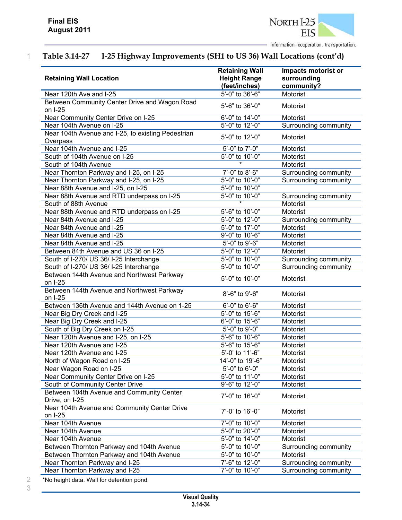

# 1 **Table 3.14-27 I-25 Highway Improvements (SH1 to US 36) Wall Locations (cont'd)**

| <b>Retaining Wall Location</b>                                 | <b>Retaining Wall</b><br><b>Height Range</b><br>(feet/inches) | Impacts motorist or<br>surrounding<br>community? |
|----------------------------------------------------------------|---------------------------------------------------------------|--------------------------------------------------|
| Near 120th Ave and I-25                                        | 5'-0" to 36'-6"                                               | Motorist                                         |
| Between Community Center Drive and Wagon Road<br>on I-25       | 5'-6" to 36'-0"                                               | Motorist                                         |
| Near Community Center Drive on I-25                            | 6'-0" to 14'-0"                                               | Motorist                                         |
| Near 104th Avenue on I-25                                      | 5'-0" to 12'-0"                                               | <b>Surrounding community</b>                     |
| Near 104th Avenue and I-25, to existing Pedestrian<br>Overpass | 5'-0" to 12'-0"                                               | Motorist                                         |
| Near 104th Avenue and I-25                                     | 5'-0" to 7'-0"                                                | Motorist                                         |
| South of 104th Avenue on I-25                                  | 5'-0" to 10'-0"                                               | Motorist                                         |
| South of 104th Avenue                                          |                                                               | Motorist                                         |
| Near Thornton Parkway and I-25, on I-25                        | 7'-0" to 8'-6"                                                | Surrounding community                            |
| Near Thornton Parkway and I-25, on I-25                        | 5'-0" to 10'-0"                                               | Surrounding community                            |
| Near 88th Avenue and I-25, on I-25                             | 5'-0" to 10'-0"                                               |                                                  |
| Near 88th Avenue and RTD underpass on I-25                     | 5'-0" to 10'-0"                                               | Surrounding community                            |
| South of 88th Avenue                                           |                                                               | Motorist                                         |
| Near 88th Avenue and RTD underpass on I-25                     | $5'-6"$ to 10'-0"                                             | Motorist                                         |
| Near 84th Avenue and I-25                                      | 5'-0" to 12'-0"                                               | Surrounding community                            |
| Near 84th Avenue and I-25                                      | 5'-0" to 17'-0"                                               | Motorist                                         |
| Near 84th Avenue and I-25                                      | 9'-0" to 10'-6"                                               | Motorist                                         |
| Near 84th Avenue and I-25                                      | 5'-0" to 9'-6"                                                | Motorist                                         |
| Between 84th Avenue and US 36 on I-25                          | 5'-0" to 12'-0"                                               | Motorist                                         |
| South of I-270/ US 36/ I-25 Interchange                        | 5'-0" to 10'-0"                                               | Surrounding community                            |
| South of I-270/ US 36/ I-25 Interchange                        | 5'-0" to 10'-0"                                               | Surrounding community                            |
| Between 144th Avenue and Northwest Parkway<br>on I-25          | 5'-0" to 10'-0"                                               | Motorist                                         |
| Between 144th Avenue and Northwest Parkway<br>on I-25          | 8'-6" to 9'-6"                                                | Motorist                                         |
| Between 136th Avenue and 144th Avenue on 1-25                  | 6'-0" to 6'-6"                                                | Motorist                                         |
| Near Big Dry Creek and I-25                                    | 5'-0" to 15'-6"                                               | Motorist                                         |
| Near Big Dry Creek and I-25                                    | 6'-0" to 15'-6"                                               | Motorist                                         |
| South of Big Dry Creek on I-25                                 | 5'-0" to 9'-0"                                                | Motorist                                         |
| Near 120th Avenue and I-25, on I-25                            | 5'-6" to 10'-6"                                               | Motorist                                         |
| Near 120th Avenue and I-25                                     | 5'-6" to 15'-6"                                               | Motorist                                         |
| Near 120th Avenue and I-25                                     | 5'-0' to 11'-6"                                               | Motorist                                         |
| North of Wagon Road on I-25                                    | 14'-0" to 19'-6"                                              | Motorist                                         |
| Near Wagon Road on I-25                                        | $5'-0''$ to 6'-0"                                             | Motorist                                         |
| Near Community Center Drive on I-25                            | 5'-0" to 11'-0"                                               | Motorist                                         |
| South of Community Center Drive                                | 9'-6" to 12'-0"                                               | Motorist                                         |
| Between 104th Avenue and Community Center<br>Drive, on I-25    | 7'-0" to 16'-0"                                               | Motorist                                         |
| Near 104th Avenue and Community Center Drive<br>on I-25        | 7'-0' to 16'-0"                                               | Motorist                                         |
| Near 104th Avenue                                              | 7'-0" to 10'-0"                                               | Motorist                                         |
| Near 104th Avenue                                              | 5'-0" to 20'-0"                                               | Motorist                                         |
| Near 104th Avenue                                              | 5'-0" to 14'-0"                                               | Motorist                                         |
| Between Thornton Parkway and 104th Avenue                      | 5'-0" to 10'-0"                                               | Surrounding community                            |
| Between Thornton Parkway and 104th Avenue                      | 5'-0" to 10'-0"                                               | Motorist                                         |
| Near Thornton Parkway and I-25                                 | 7'-6" to 12'-0"                                               | Surrounding community                            |
| Near Thornton Parkway and I-25                                 | 7'-0" to 10'-0"                                               | Surrounding community                            |

2 \*No height data. Wall for detention pond.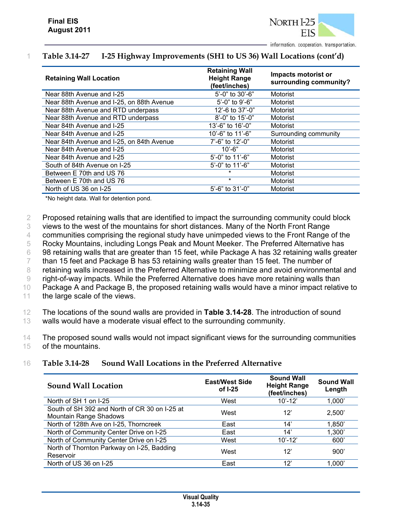

### 1 **Table 3.14-27 I-25 Highway Improvements (SH1 to US 36) Wall Locations (cont'd)**

| <b>Retaining Wall Location</b>            | <b>Retaining Wall</b><br><b>Height Range</b><br>(feet/inches) | Impacts motorist or<br>surrounding community? |
|-------------------------------------------|---------------------------------------------------------------|-----------------------------------------------|
| Near 88th Avenue and I-25                 | 5'-0" to 30'-6"                                               | <b>Motorist</b>                               |
| Near 88th Avenue and I-25, on 88th Avenue | $5'-0''$ to 9'-6"                                             | Motorist                                      |
| Near 88th Avenue and RTD underpass        | 12'-6 to 37'-0"                                               | Motorist                                      |
| Near 88th Avenue and RTD underpass        | 8'-0" to 15'-0"                                               | Motorist                                      |
| Near 84th Avenue and I-25                 | 13'-6" to 16'-0"                                              | Motorist                                      |
| Near 84th Avenue and I-25                 | 10'-6" to 11'-6"                                              | Surrounding community                         |
| Near 84th Avenue and I-25, on 84th Avenue | 7'-6" to 12'-0"                                               | <b>Motorist</b>                               |
| Near 84th Avenue and I-25                 | $10' - 6"$                                                    | Motorist                                      |
| Near 84th Avenue and I-25                 | 5'-0" to 11'-6"                                               | Motorist                                      |
| South of 84th Avenue on I-25              | 5'-0" to 11'-6"                                               | Motorist                                      |
| Between E 70th and US 76                  | $\star$                                                       | Motorist                                      |
| Between E 70th and US 76                  | $\star$                                                       | Motorist                                      |
| North of US 36 on I-25                    | $5'-6''$ to $31'-0''$                                         | Motorist                                      |

\*No height data. Wall for detention pond.

2 Proposed retaining walls that are identified to impact the surrounding community could block

3 views to the west of the mountains for short distances. Many of the North Front Range

4 communities comprising the regional study have unimpeded views to the Front Range of the

5 Rocky Mountains, including Longs Peak and Mount Meeker. The Preferred Alternative has

6 98 retaining walls that are greater than 15 feet, while Package A has 32 retaining walls greater

7 than 15 feet and Package B has 53 retaining walls greater than 15 feet. The number of

8 retaining walls increased in the Preferred Alternative to minimize and avoid environmental and

9 right-of-way impacts. While the Preferred Alternative does have more retaining walls than

10 Package A and Package B, the proposed retaining walls would have a minor impact relative to

11 the large scale of the views.

12 The locations of the sound walls are provided in **Table 3.14-28**. The introduction of sound

13 walls would have a moderate visual effect to the surrounding community.

14 The proposed sound walls would not impact significant views for the surrounding communities 15 of the mountains.

#### 16 **Table 3.14-28 Sound Wall Locations in the Preferred Alternative**

| <b>Sound Wall Location</b>                                                     | <b>East/West Side</b><br>of $I-25$ | <b>Sound Wall</b><br><b>Height Range</b><br>(feet/inches) | <b>Sound Wall</b><br>Length |
|--------------------------------------------------------------------------------|------------------------------------|-----------------------------------------------------------|-----------------------------|
| North of SH 1 on I-25                                                          | West                               | $10' - 12'$                                               | 1,000'                      |
| South of SH 392 and North of CR 30 on I-25 at<br><b>Mountain Range Shadows</b> | West                               | 12'                                                       | 2,500'                      |
| North of 128th Ave on I-25, Thorncreek                                         | East                               | 14'                                                       | 1,850'                      |
| North of Community Center Drive on I-25                                        | East                               | 14'                                                       | 1,300'                      |
| North of Community Center Drive on I-25                                        | West                               | $10' - 12'$                                               | 600                         |
| North of Thornton Parkway on I-25, Badding<br>Reservoir                        | West                               | 12'                                                       | 900'                        |
| North of US 36 on I-25                                                         | East                               | 12'                                                       | 1.000'                      |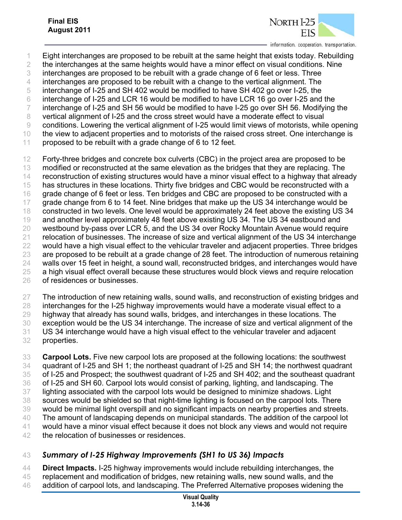

- Eight interchanges are proposed to be rebuilt at the same height that exists today. Rebuilding
- the interchanges at the same heights would have a minor effect on visual conditions. Nine
- interchanges are proposed to be rebuilt with a grade change of 6 feet or less. Three
- interchanges are proposed to be rebuilt with a change to the vertical alignment. The
- interchange of I-25 and SH 402 would be modified to have SH 402 go over I-25, the
- interchange of I-25 and LCR 16 would be modified to have LCR 16 go over I-25 and the
- interchange of I-25 and SH 56 would be modified to have I-25 go over SH 56. Modifying the
- vertical alignment of I-25 and the cross street would have a moderate effect to visual
- conditions. Lowering the vertical alignment of I-25 would limit views of motorists, while opening
- the view to adjacent properties and to motorists of the raised cross street. One interchange is
- 11 proposed to be rebuilt with a grade change of 6 to 12 feet.

12 Forty-three bridges and concrete box culverts (CBC) in the project area are proposed to be 13 modified or reconstructed at the same elevation as the bridges that they are replacing. The reconstruction of existing structures would have a minor visual effect to a highway that already has structures in these locations. Thirty five bridges and CBC would be reconstructed with a 16 grade change of 6 feet or less. Ten bridges and CBC are proposed to be constructed with a 17 grade change from 6 to 14 feet. Nine bridges that make up the US 34 interchange would be constructed in two levels. One level would be approximately 24 feet above the existing US 34 and another level approximately 48 feet above existing US 34. The US 34 eastbound and westbound by-pass over LCR 5, and the US 34 over Rocky Mountain Avenue would require 21 relocation of businesses. The increase of size and vertical alignment of the US 34 interchange 22 would have a high visual effect to the vehicular traveler and adjacent properties. Three bridges are proposed to be rebuilt at a grade change of 28 feet. The introduction of numerous retaining walls over 15 feet in height, a sound wall, reconstructed bridges, and interchanges would have 25 a high visual effect overall because these structures would block views and require relocation of residences or businesses.

27 The introduction of new retaining walls, sound walls, and reconstruction of existing bridges and

interchanges for the I-25 highway improvements would have a moderate visual effect to a

highway that already has sound walls, bridges, and interchanges in these locations. The

- exception would be the US 34 interchange. The increase of size and vertical alignment of the US 34 interchange would have a high visual effect to the vehicular traveler and adjacent
- properties.
- **Carpool Lots.** Five new carpool lots are proposed at the following locations: the southwest quadrant of I-25 and SH 1; the northeast quadrant of I-25 and SH 14; the northwest quadrant of I-25 and Prospect; the southwest quadrant of I-25 and SH 402; and the southeast quadrant of I-25 and SH 60. Carpool lots would consist of parking, lighting, and landscaping. The lighting associated with the carpool lots would be designed to minimize shadows. Light sources would be shielded so that night-time lighting is focused on the carpool lots. There would be minimal light overspill and no significant impacts on nearby properties and streets. The amount of landscaping depends on municipal standards. The addition of the carpool lot would have a minor visual effect because it does not block any views and would not require the relocation of businesses or residences.
- *Summary of I-25 Highway Improvements (SH1 to US 36) Impacts*

 **Direct Impacts.** I-25 highway improvements would include rebuilding interchanges, the replacement and modification of bridges, new retaining walls, new sound walls, and the

46 addition of carpool lots, and landscaping. The Preferred Alternative proposes widening the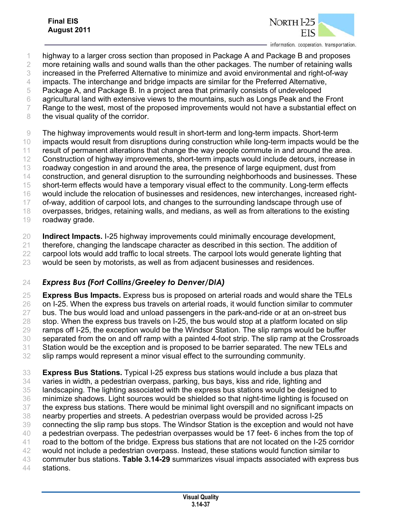

 highway to a larger cross section than proposed in Package A and Package B and proposes more retaining walls and sound walls than the other packages. The number of retaining walls increased in the Preferred Alternative to minimize and avoid environmental and right-of-way impacts. The interchange and bridge impacts are similar for the Preferred Alternative,

Package A, and Package B. In a project area that primarily consists of undeveloped

agricultural land with extensive views to the mountains, such as Longs Peak and the Front

Range to the west, most of the proposed improvements would not have a substantial effect on

8 the visual quality of the corridor.

 The highway improvements would result in short-term and long-term impacts. Short-term impacts would result from disruptions during construction while long-term impacts would be the result of permanent alterations that change the way people commute in and around the area. 12 Construction of highway improvements, short-term impacts would include detours, increase in roadway congestion in and around the area, the presence of large equipment, dust from construction, and general disruption to the surrounding neighborhoods and businesses. These short-term effects would have a temporary visual effect to the community. Long-term effects would include the relocation of businesses and residences, new interchanges, increased right-17 of-way, addition of carpool lots, and changes to the surrounding landscape through use of overpasses, bridges, retaining walls, and medians, as well as from alterations to the existing roadway grade.

 **Indirect Impacts.** I-25 highway improvements could minimally encourage development, therefore, changing the landscape character as described in this section. The addition of carpool lots would add traffic to local streets. The carpool lots would generate lighting that

would be seen by motorists, as well as from adjacent businesses and residences.

## *Express Bus (Fort Collins/Greeley to Denver/DIA)*

 **Express Bus Impacts.** Express bus is proposed on arterial roads and would share the TELs on I-25. When the express bus travels on arterial roads, it would function similar to commuter bus. The bus would load and unload passengers in the park-and-ride or at an on-street bus 28 stop. When the express bus travels on I-25, the bus would stop at a platform located on slip ramps off I-25, the exception would be the Windsor Station. The slip ramps would be buffer separated from the on and off ramp with a painted 4-foot strip. The slip ramp at the Crossroads Station would be the exception and is proposed to be barrier separated. The new TELs and slip ramps would represent a minor visual effect to the surrounding community.

 **Express Bus Stations.** Typical I-25 express bus stations would include a bus plaza that varies in width, a pedestrian overpass, parking, bus bays, kiss and ride, lighting and landscaping. The lighting associated with the express bus stations would be designed to minimize shadows. Light sources would be shielded so that night-time lighting is focused on the express bus stations. There would be minimal light overspill and no significant impacts on nearby properties and streets. A pedestrian overpass would be provided across I-25 connecting the slip ramp bus stops. The Windsor Station is the exception and would not have 40 a pedestrian overpass. The pedestrian overpasses would be 17 feet- 6 inches from the top of road to the bottom of the bridge. Express bus stations that are not located on the I-25 corridor 42 would not include a pedestrian overpass. Instead, these stations would function similar to commuter bus stations. **Table 3.14-29** summarizes visual impacts associated with express bus stations.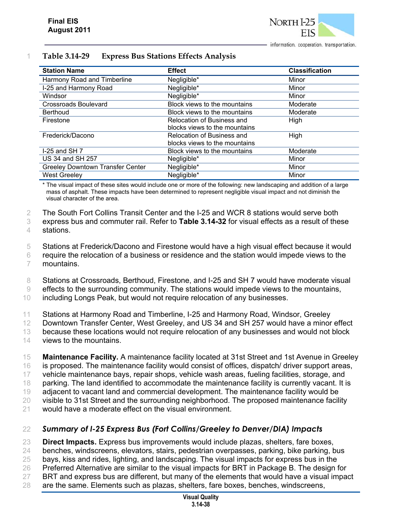

| <b>Station Name</b>                     | <b>Effect</b>                 | <b>Classification</b> |
|-----------------------------------------|-------------------------------|-----------------------|
| Harmony Road and Timberline             | Negligible*                   | Minor                 |
| I-25 and Harmony Road                   | Negligible*                   | Minor                 |
| Windsor                                 | Negligible*                   | Minor                 |
| <b>Crossroads Boulevard</b>             | Block views to the mountains  | Moderate              |
| <b>Berthoud</b>                         | Block views to the mountains  | Moderate              |
| Firestone                               | Relocation of Business and    | High                  |
|                                         | blocks views to the mountains |                       |
| Frederick/Dacono                        | Relocation of Business and    | High                  |
|                                         | blocks views to the mountains |                       |
| $I-25$ and SH $7$                       | Block views to the mountains  | Moderate              |
| US 34 and SH 257                        | Negligible*                   | Minor                 |
| <b>Greeley Downtown Transfer Center</b> | Negligible*                   | Minor                 |
| <b>West Greeley</b>                     | Negligible*                   | Minor                 |

#### 1 **Table 3.14-29 Express Bus Stations Effects Analysis**

\* The visual impact of these sites would include one or more of the following: new landscaping and addition of a large mass of asphalt. These impacts have been determined to represent negligible visual impact and not diminish the visual character of the area.

2 The South Fort Collins Transit Center and the I-25 and WCR 8 stations would serve both

3 express bus and commuter rail. Refer to **Table 3.14-32** for visual effects as a result of these

4 stations.

5 Stations at Frederick/Dacono and Firestone would have a high visual effect because it would

- 6 require the relocation of a business or residence and the station would impede views to the 7 mountains.
- 8 Stations at Crossroads, Berthoud, Firestone, and I-25 and SH 7 would have moderate visual
- 9 effects to the surrounding community. The stations would impede views to the mountains,

10 including Longs Peak, but would not require relocation of any businesses.

11 Stations at Harmony Road and Timberline, I-25 and Harmony Road, Windsor, Greeley

12 Downtown Transfer Center, West Greeley, and US 34 and SH 257 would have a minor effect

13 because these locations would not require relocation of any businesses and would not block

- 14 views to the mountains.
- 15 **Maintenance Facility.** A maintenance facility located at 31st Street and 1st Avenue in Greeley 16 is proposed. The maintenance facility would consist of offices, dispatch/ driver support areas, 17 vehicle maintenance bays, repair shops, vehicle wash areas, fueling facilities, storage, and 18 parking. The land identified to accommodate the maintenance facility is currently vacant. It is 19 adjacent to vacant land and commercial development. The maintenance facility would be 20 visible to 31st Street and the surrounding neighborhood. The proposed maintenance facility
- 21 would have a moderate effect on the visual environment.

## 22 *Summary of I-25 Express Bus (Fort Collins/Greeley to Denver/DIA) Impacts*

23 **Direct Impacts.** Express bus improvements would include plazas, shelters, fare boxes,

- 24 benches, windscreens, elevators, stairs, pedestrian overpasses, parking, bike parking, bus
- 25 bays, kiss and rides, lighting, and landscaping. The visual impacts for express bus in the
- 26 Preferred Alternative are similar to the visual impacts for BRT in Package B. The design for
- 27 BRT and express bus are different, but many of the elements that would have a visual impact
- 28 are the same. Elements such as plazas, shelters, fare boxes, benches, windscreens,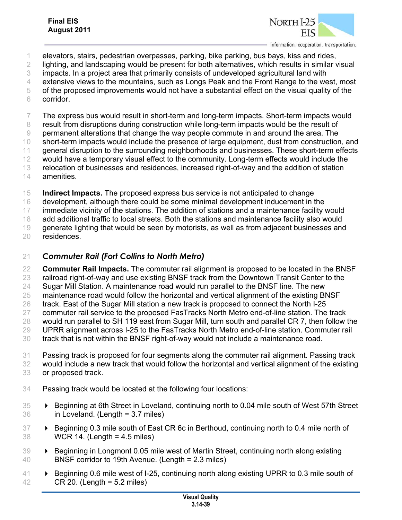

- elevators, stairs, pedestrian overpasses, parking, bike parking, bus bays, kiss and rides,
- lighting, and landscaping would be present for both alternatives, which results in similar visual
- impacts. In a project area that primarily consists of undeveloped agricultural land with
- 4 extensive views to the mountains, such as Longs Peak and the Front Range to the west, most
- of the proposed improvements would not have a substantial effect on the visual quality of the corridor.

The express bus would result in short-term and long-term impacts. Short-term impacts would

- result from disruptions during construction while long-term impacts would be the result of
- permanent alterations that change the way people commute in and around the area. The
- short-term impacts would include the presence of large equipment, dust from construction, and general disruption to the surrounding neighborhoods and businesses. These short-term effects
- 12 would have a temporary visual effect to the community. Long-term effects would include the
- relocation of businesses and residences, increased right-of-way and the addition of station
- amenities.
- **Indirect Impacts.** The proposed express bus service is not anticipated to change
- development, although there could be some minimal development inducement in the

immediate vicinity of the stations. The addition of stations and a maintenance facility would

add additional traffic to local streets. Both the stations and maintenance facility also would

19 generate lighting that would be seen by motorists, as well as from adjacent businesses and

residences.

### *Commuter Rail (Fort Collins to North Metro)*

- **Commuter Rail Impacts.** The commuter rail alignment is proposed to be located in the BNSF 23 railroad right-of-way and use existing BNSF track from the Downtown Transit Center to the Sugar Mill Station. A maintenance road would run parallel to the BNSF line. The new maintenance road would follow the horizontal and vertical alignment of the existing BNSF
- track. East of the Sugar Mill station a new track is proposed to connect the North I-25
- commuter rail service to the proposed FasTracks North Metro end-of-line station. The track
- would run parallel to SH 119 east from Sugar Mill, turn south and parallel CR 7, then follow the
- UPRR alignment across I-25 to the FasTracks North Metro end-of-line station. Commuter rail
- track that is not within the BNSF right-of-way would not include a maintenance road.
- Passing track is proposed for four segments along the commuter rail alignment. Passing track
- would include a new track that would follow the horizontal and vertical alignment of the existing or proposed track.
- Passing track would be located at the following four locations:
- Beginning at 6th Street in Loveland, continuing north to 0.04 mile south of West 57th Street in Loveland. (Length = 3.7 miles)
- **Beginning 0.3 mile south of East CR 6c in Berthoud, continuing north to 0.4 mile north of** WCR 14. (Length = 4.5 miles)
- 39 Beginning in Longmont 0.05 mile west of Martin Street, continuing north along existing BNSF corridor to 19th Avenue. (Length = 2.3 miles)
- 41 Expedience 1.6 miles west of I-25, continuing north along existing UPRR to 0.3 mile south of CR 20. (Length = 5.2 miles)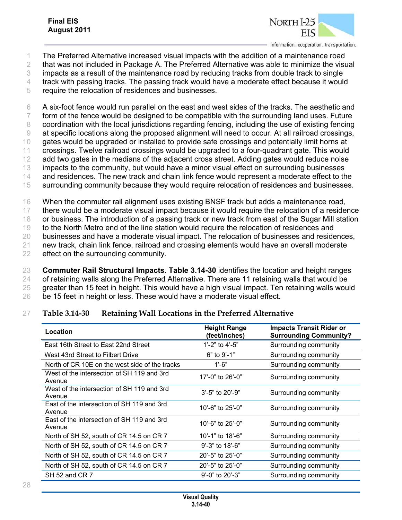

- 1 The Preferred Alternative increased visual impacts with the addition of a maintenance road
- 2 that was not included in Package A. The Preferred Alternative was able to minimize the visual
- 3 impacts as a result of the maintenance road by reducing tracks from double track to single
- 4 track with passing tracks. The passing track would have a moderate effect because it would
- 5 require the relocation of residences and businesses.

6 A six-foot fence would run parallel on the east and west sides of the tracks. The aesthetic and 7 form of the fence would be designed to be compatible with the surrounding land uses. Future 8 coordination with the local jurisdictions regarding fencing, including the use of existing fencing 9 at specific locations along the proposed alignment will need to occur. At all railroad crossings, 10 gates would be upgraded or installed to provide safe crossings and potentially limit horns at 11 crossings. Twelve railroad crossings would be upgraded to a four-quadrant gate. This would 12 add two gates in the medians of the adjacent cross street. Adding gates would reduce noise 13 impacts to the community, but would have a minor visual effect on surrounding businesses 14 and residences. The new track and chain link fence would represent a moderate effect to the 15 surrounding community because they would require relocation of residences and businesses.

 When the commuter rail alignment uses existing BNSF track but adds a maintenance road, there would be a moderate visual impact because it would require the relocation of a residence or business. The introduction of a passing track or new track from east of the Sugar Mill station to the North Metro end of the line station would require the relocation of residences and businesses and have a moderate visual impact. The relocation of businesses and residences, new track, chain link fence, railroad and crossing elements would have an overall moderate effect on the surrounding community.

 **Commuter Rail Structural Impacts. Table 3.14-30** identifies the location and height ranges of retaining walls along the Preferred Alternative. There are 11 retaining walls that would be 25 greater than 15 feet in height. This would have a high visual impact. Ten retaining walls would be 15 feet in height or less. These would have a moderate visual effect.

## 27 **Table 3.14-30 Retaining Wall Locations in the Preferred Alternative**

| Location                                             | <b>Height Range</b><br>(feet/inches) | <b>Impacts Transit Rider or</b><br><b>Surrounding Community?</b> |
|------------------------------------------------------|--------------------------------------|------------------------------------------------------------------|
| East 16th Street to East 22nd Street                 | 1'-2" to 4'-5"                       | Surrounding community                                            |
| West 43rd Street to Filbert Drive                    | $6"$ to 9'-1"                        | Surrounding community                                            |
| North of CR 10E on the west side of the tracks       | $1'$ -6"                             | Surrounding community                                            |
| West of the intersection of SH 119 and 3rd<br>Avenue | 17'-0" to 26'-0"                     | Surrounding community                                            |
| West of the intersection of SH 119 and 3rd<br>Avenue | $3'$ -5" to 20'-9"                   | Surrounding community                                            |
| East of the intersection of SH 119 and 3rd<br>Avenue | 10'-6" to $25'$ -0"                  | Surrounding community                                            |
| East of the intersection of SH 119 and 3rd<br>Avenue | 10'-6" to $25'$ -0"                  | Surrounding community                                            |
| North of SH 52, south of CR 14.5 on CR 7             | 10'-1" to 18'-6"                     | Surrounding community                                            |
| North of SH 52, south of CR 14.5 on CR 7             | $9' - 3"$ to 18'-6"                  | Surrounding community                                            |
| North of SH 52, south of CR 14.5 on CR 7             | 20'-5" to $25'$ -0"                  | Surrounding community                                            |
| North of SH 52, south of CR 14.5 on CR 7             | 20'-5" to $25'$ -0"                  | Surrounding community                                            |
| SH 52 and CR 7                                       | $9'$ -0" to 20'-3"                   | Surrounding community                                            |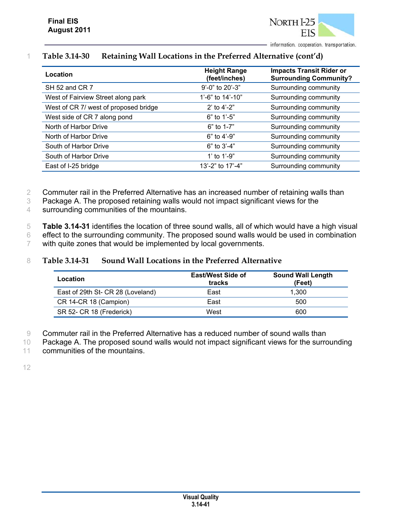

### 1 **Table 3.14-30 Retaining Wall Locations in the Preferred Alternative (cont'd)**

| Location                              | <b>Height Range</b><br>(feet/inches) | <b>Impacts Transit Rider or</b><br><b>Surrounding Community?</b> |
|---------------------------------------|--------------------------------------|------------------------------------------------------------------|
| SH 52 and CR 7                        | 9'-0" to 20'-3"                      | Surrounding community                                            |
| West of Fairview Street along park    | 1'-6" to $14'$ -10"                  | Surrounding community                                            |
| West of CR 7/ west of proposed bridge | 2' to $4'-2$ "                       | Surrounding community                                            |
| West side of CR 7 along pond          | 6" to 1'-5"                          | Surrounding community                                            |
| North of Harbor Drive                 | $6"$ to 1-7"                         | Surrounding community                                            |
| North of Harbor Drive                 | 6" to 4'-9"                          | Surrounding community                                            |
| South of Harbor Drive                 | $6"$ to $3'-4"$                      | Surrounding community                                            |
| South of Harbor Drive                 | 1' to $1'$ -9"                       | Surrounding community                                            |
| East of I-25 bridge                   | 13'-2" to 17'-4"                     | Surrounding community                                            |

2 Commuter rail in the Preferred Alternative has an increased number of retaining walls than

- 3 Package A. The proposed retaining walls would not impact significant views for the
- 4 surrounding communities of the mountains.

5 **Table 3.14-31** identifies the location of three sound walls, all of which would have a high visual 6 effect to the surrounding community. The proposed sound walls would be used in combination 7 with quite zones that would be implemented by local governments.

#### 8 **Table 3.14-31 Sound Wall Locations in the Preferred Alternative**

| Location                          | <b>East/West Side of</b><br>tracks | <b>Sound Wall Length</b><br>(Feet) |
|-----------------------------------|------------------------------------|------------------------------------|
| East of 29th St- CR 28 (Loveland) | East                               | 1.300                              |
| CR 14-CR 18 (Campion)             | East                               | 500                                |
| SR 52- CR 18 (Frederick)          | West                               | 600                                |

9 Commuter rail in the Preferred Alternative has a reduced number of sound walls than

10 Package A. The proposed sound walls would not impact significant views for the surrounding

11 communities of the mountains.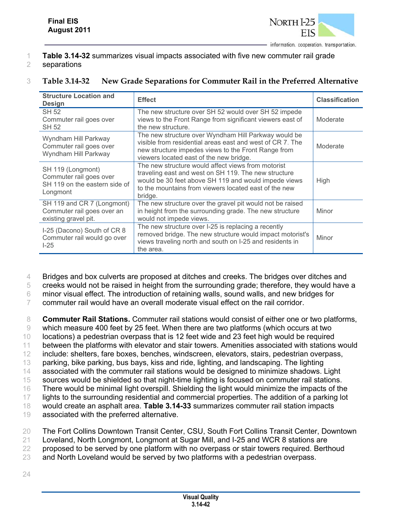

- 1 **Table 3.14-32** summarizes visual impacts associated with five new commuter rail grade
- 2 separations

| <b>Structure Location and</b><br><b>Design</b>                                            | <b>Effect</b>                                                                                                                                                                                                                          | <b>Classification</b> |
|-------------------------------------------------------------------------------------------|----------------------------------------------------------------------------------------------------------------------------------------------------------------------------------------------------------------------------------------|-----------------------|
| <b>SH 52</b><br>Commuter rail goes over<br>SH 52                                          | The new structure over SH 52 would over SH 52 impede<br>views to the Front Range from significant viewers east of<br>the new structure.                                                                                                | Moderate              |
| Wyndham Hill Parkway<br>Commuter rail goes over<br>Wyndham Hill Parkway                   | The new structure over Wyndham Hill Parkway would be<br>visible from residential areas east and west of CR 7. The<br>new structure impedes views to the Front Range from<br>viewers located east of the new bridge.                    | Moderate              |
| SH 119 (Longmont)<br>Commuter rail goes over<br>SH 119 on the eastern side of<br>Longmont | The new structure would affect views from motorist<br>traveling east and west on SH 119. The new structure<br>would be 30 feet above SH 119 and would impede views<br>to the mountains from viewers located east of the new<br>bridge. | High                  |
| SH 119 and CR 7 (Longmont)<br>Commuter rail goes over an<br>existing gravel pit.          | The new structure over the gravel pit would not be raised<br>in height from the surrounding grade. The new structure<br>would not impede views.                                                                                        | Minor                 |
| I-25 (Dacono) South of CR 8<br>Commuter rail would go over<br>$1-25$                      | The new structure over I-25 is replacing a recently<br>removed bridge. The new structure would impact motorist's<br>views traveling north and south on I-25 and residents in<br>the area.                                              | Minor                 |

#### 3 **Table 3.14-32 New Grade Separations for Commuter Rail in the Preferred Alternative**

4 Bridges and box culverts are proposed at ditches and creeks. The bridges over ditches and

5 creeks would not be raised in height from the surrounding grade; therefore, they would have a

6 minor visual effect. The introduction of retaining walls, sound walls, and new bridges for

7 commuter rail would have an overall moderate visual effect on the rail corridor.

 **Commuter Rail Stations.** Commuter rail stations would consist of either one or two platforms, which measure 400 feet by 25 feet. When there are two platforms (which occurs at two locations) a pedestrian overpass that is 12 feet wide and 23 feet high would be required between the platforms with elevator and stair towers. Amenities associated with stations would include: shelters, fare boxes, benches, windscreen, elevators, stairs, pedestrian overpass, parking, bike parking, bus bays, kiss and ride, lighting, and landscaping. The lighting associated with the commuter rail stations would be designed to minimize shadows. Light sources would be shielded so that night-time lighting is focused on commuter rail stations. There would be minimal light overspill. Shielding the light would minimize the impacts of the 17 lights to the surrounding residential and commercial properties. The addition of a parking lot would create an asphalt area. **Table 3.14-33** summarizes commuter rail station impacts associated with the preferred alternative.

20 The Fort Collins Downtown Transit Center, CSU, South Fort Collins Transit Center, Downtown

- 21 Loveland, North Longmont, Longmont at Sugar Mill, and I-25 and WCR 8 stations are
- 22 proposed to be served by one platform with no overpass or stair towers required. Berthoud
- 23 and North Loveland would be served by two platforms with a pedestrian overpass.
- 24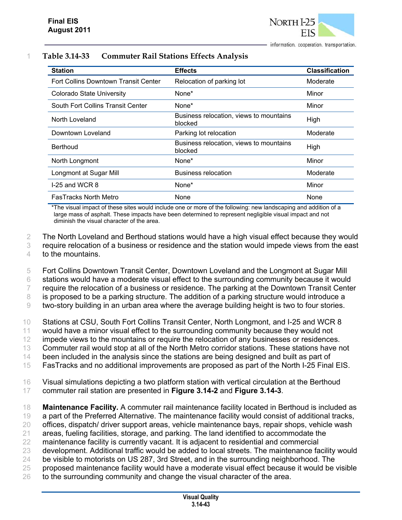| <b>Station</b>                       | <b>Effects</b>                                     | <b>Classification</b> |
|--------------------------------------|----------------------------------------------------|-----------------------|
| Fort Collins Downtown Transit Center | Relocation of parking lot                          | Moderate              |
| <b>Colorado State University</b>     | None*                                              | Minor                 |
| South Fort Collins Transit Center    | None*                                              | Minor                 |
| North Loveland                       | Business relocation, views to mountains<br>blocked | High                  |
| Downtown Loveland                    | Parking lot relocation                             | Moderate              |
| <b>Berthoud</b>                      | Business relocation, views to mountains<br>blocked | High                  |
| North Longmont                       | None*                                              | Minor                 |
| Longmont at Sugar Mill               | Business relocation                                | Moderate              |
| I-25 and WCR 8                       | None*                                              | Minor                 |
| <b>FasTracks North Metro</b>         | <b>None</b>                                        | None                  |

#### 1 **Table 3.14-33 Commuter Rail Stations Effects Analysis**

\*The visual impact of these sites would include one or more of the following: new landscaping and addition of a large mass of asphalt. These impacts have been determined to represent negligible visual impact and not diminish the visual character of the area.

2 The North Loveland and Berthoud stations would have a high visual effect because they would 3 require relocation of a business or residence and the station would impede views from the east 4 to the mountains.

 Fort Collins Downtown Transit Center, Downtown Loveland and the Longmont at Sugar Mill stations would have a moderate visual effect to the surrounding community because it would 7 require the relocation of a business or residence. The parking at the Downtown Transit Center is proposed to be a parking structure. The addition of a parking structure would introduce a

9 two-story building in an urban area where the average building height is two to four stories.

10 Stations at CSU, South Fort Collins Transit Center, North Longmont, and I-25 and WCR 8

11 would have a minor visual effect to the surrounding community because they would not

12 impede views to the mountains or require the relocation of any businesses or residences.

13 Commuter rail would stop at all of the North Metro corridor stations. These stations have not

14 been included in the analysis since the stations are being designed and built as part of

15 FasTracks and no additional improvements are proposed as part of the North I-25 Final EIS.

16 Visual simulations depicting a two platform station with vertical circulation at the Berthoud

17 commuter rail station are presented in **Figure 3.14-2** and **Figure 3.14-3**.

18 **Maintenance Facility.** A commuter rail maintenance facility located in Berthoud is included as

19 a part of the Preferred Alternative. The maintenance facility would consist of additional tracks,

- 20 offices, dispatch/ driver support areas, vehicle maintenance bays, repair shops, vehicle wash
- 21 areas, fueling facilities, storage, and parking. The land identified to accommodate the
- 22 maintenance facility is currently vacant. It is adjacent to residential and commercial 23 development. Additional traffic would be added to local streets. The maintenance facility would
- 24 be visible to motorists on US 287, 3rd Street, and in the surrounding neighborhood. The
- 25 proposed maintenance facility would have a moderate visual effect because it would be visible
- 26 to the surrounding community and change the visual character of the area.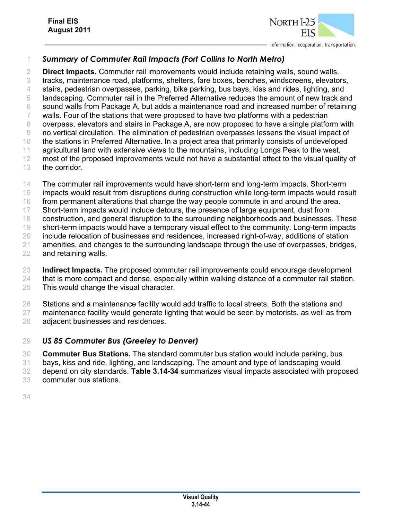

# *Summary of Commuter Rail Impacts (Fort Collins to North Metro)*

 **Direct Impacts.** Commuter rail improvements would include retaining walls, sound walls, tracks, maintenance road, platforms, shelters, fare boxes, benches, windscreens, elevators, stairs, pedestrian overpasses, parking, bike parking, bus bays, kiss and rides, lighting, and landscaping. Commuter rail in the Preferred Alternative reduces the amount of new track and sound walls from Package A, but adds a maintenance road and increased number of retaining walls. Four of the stations that were proposed to have two platforms with a pedestrian overpass, elevators and stairs in Package A, are now proposed to have a single platform with no vertical circulation. The elimination of pedestrian overpasses lessens the visual impact of the stations in Preferred Alternative. In a project area that primarily consists of undeveloped agricultural land with extensive views to the mountains, including Longs Peak to the west, 12 most of the proposed improvements would not have a substantial effect to the visual quality of

- the corridor.
- 14 The commuter rail improvements would have short-term and long-term impacts. Short-term
- impacts would result from disruptions during construction while long-term impacts would result
- 16 from permanent alterations that change the way people commute in and around the area.
- Short-term impacts would include detours, the presence of large equipment, dust from
- construction, and general disruption to the surrounding neighborhoods and businesses. These 19 short-term impacts would have a temporary visual effect to the community. Long-term impacts
- include relocation of businesses and residences, increased right-of-way, additions of station
- amenities, and changes to the surrounding landscape through the use of overpasses, bridges,
- and retaining walls.
- **Indirect Impacts.** The proposed commuter rail improvements could encourage development
- 24 that is more compact and dense, especially within walking distance of a commuter rail station. This would change the visual character.
- Stations and a maintenance facility would add traffic to local streets. Both the stations and
- maintenance facility would generate lighting that would be seen by motorists, as well as from adjacent businesses and residences.

## *US 85 Commuter Bus (Greeley to Denver)*

- **Commuter Bus Stations.** The standard commuter bus station would include parking, bus
- bays, kiss and ride, lighting, and landscaping. The amount and type of landscaping would
- depend on city standards. **Table 3.14-34** summarizes visual impacts associated with proposed
- commuter bus stations.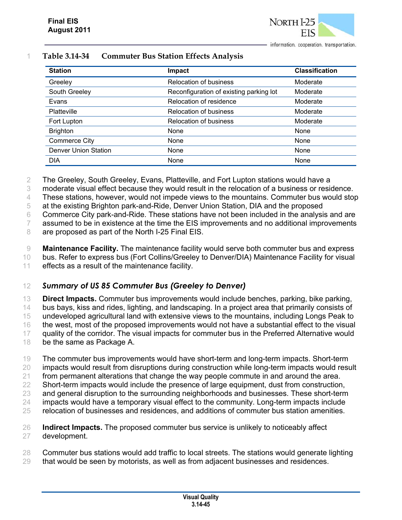

| <b>Station</b>              | Impact                                  | <b>Classification</b> |
|-----------------------------|-----------------------------------------|-----------------------|
| Greeley                     | <b>Relocation of business</b>           | Moderate              |
| South Greeley               | Reconfiguration of existing parking lot | Moderate              |
| Evans                       | Relocation of residence                 | Moderate              |
| Platteville                 | <b>Relocation of business</b>           | Moderate              |
| Fort Lupton                 | <b>Relocation of business</b>           | Moderate              |
| <b>Brighton</b>             | None                                    | None                  |
| <b>Commerce City</b>        | None                                    | None                  |
| <b>Denver Union Station</b> | None                                    | None                  |
| <b>DIA</b>                  | None                                    | None                  |

#### 1 **Table 3.14-34 Commuter Bus Station Effects Analysis**

2 The Greeley, South Greeley, Evans, Platteville, and Fort Lupton stations would have a

3 moderate visual effect because they would result in the relocation of a business or residence.

4 These stations, however, would not impede views to the mountains. Commuter bus would stop

5 at the existing Brighton park-and-Ride, Denver Union Station, DIA and the proposed

6 Commerce City park-and-Ride. These stations have not been included in the analysis and are

7 assumed to be in existence at the time the EIS improvements and no additional improvements

8 are proposed as part of the North I-25 Final EIS.

9 **Maintenance Facility.** The maintenance facility would serve both commuter bus and express

10 bus. Refer to express bus (Fort Collins/Greeley to Denver/DIA) Maintenance Facility for visual

11 effects as a result of the maintenance facility.

#### 12 *Summary of US 85 Commuter Bus (Greeley to Denver)*

 **Direct Impacts.** Commuter bus improvements would include benches, parking, bike parking, bus bays, kiss and rides, lighting, and landscaping. In a project area that primarily consists of undeveloped agricultural land with extensive views to the mountains, including Longs Peak to 16 the west, most of the proposed improvements would not have a substantial effect to the visual 17 quality of the corridor. The visual impacts for commuter bus in the Preferred Alternative would be the same as Package A.

 The commuter bus improvements would have short-term and long-term impacts. Short-term impacts would result from disruptions during construction while long-term impacts would result from permanent alterations that change the way people commute in and around the area. 22 Short-term impacts would include the presence of large equipment, dust from construction, and general disruption to the surrounding neighborhoods and businesses. These short-term 24 impacts would have a temporary visual effect to the community. Long-term impacts include

25 relocation of businesses and residences, and additions of commuter bus station amenities.

26 **Indirect Impacts.** The proposed commuter bus service is unlikely to noticeably affect 27 development.

28 Commuter bus stations would add traffic to local streets. The stations would generate lighting

29 that would be seen by motorists, as well as from adjacent businesses and residences.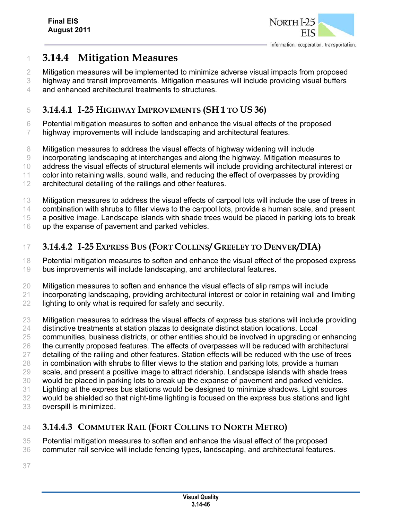

# **3.14.4 Mitigation Measures**

- Mitigation measures will be implemented to minimize adverse visual impacts from proposed
- highway and transit improvements. Mitigation measures will include providing visual buffers and enhanced architectural treatments to structures.

# **3.14.4.1 I-25 HIGHWAY IMPROVEMENTS (SH 1 TO US 36)**

- Potential mitigation measures to soften and enhance the visual effects of the proposed highway improvements will include landscaping and architectural features.
- 
- Mitigation measures to address the visual effects of highway widening will include
- incorporating landscaping at interchanges and along the highway. Mitigation measures to
- address the visual effects of structural elements will include providing architectural interest or
- color into retaining walls, sound walls, and reducing the effect of overpasses by providing
- 12 architectural detailing of the railings and other features.
- Mitigation measures to address the visual effects of carpool lots will include the use of trees in
- combination with shrubs to filter views to the carpool lots, provide a human scale, and present
- a positive image. Landscape islands with shade trees would be placed in parking lots to break
- up the expanse of pavement and parked vehicles.

# **3.14.4.2 I-25 EXPRESS BUS (FORT COLLINS/ GREELEY TO DENVER/DIA)**

- Potential mitigation measures to soften and enhance the visual effect of the proposed express bus improvements will include landscaping, and architectural features.
- Mitigation measures to soften and enhance the visual effects of slip ramps will include
- incorporating landscaping, providing architectural interest or color in retaining wall and limiting 22 lighting to only what is required for safety and security.
- Mitigation measures to address the visual effects of express bus stations will include providing
- distinctive treatments at station plazas to designate distinct station locations. Local
- communities, business districts, or other entities should be involved in upgrading or enhancing
- the currently proposed features. The effects of overpasses will be reduced with architectural
- 27 detailing of the railing and other features. Station effects will be reduced with the use of trees
- in combination with shrubs to filter views to the station and parking lots, provide a human 29 scale, and present a positive image to attract ridership. Landscape islands with shade trees
- would be placed in parking lots to break up the expanse of pavement and parked vehicles.
- Lighting at the express bus stations would be designed to minimize shadows. Light sources
- would be shielded so that night-time lighting is focused on the express bus stations and light
- overspill is minimized.

# **3.14.4.3 COMMUTER RAIL (FORT COLLINS TO NORTH METRO)**

- Potential mitigation measures to soften and enhance the visual effect of the proposed
- commuter rail service will include fencing types, landscaping, and architectural features.
-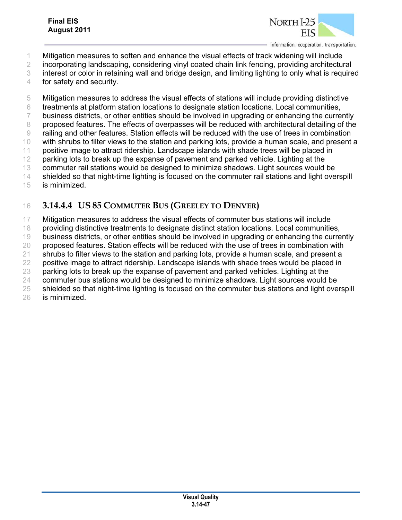Mitigation measures to soften and enhance the visual effects of track widening will include

incorporating landscaping, considering vinyl coated chain link fencing, providing architectural

interest or color in retaining wall and bridge design, and limiting lighting to only what is required

for safety and security.

Mitigation measures to address the visual effects of stations will include providing distinctive

treatments at platform station locations to designate station locations. Local communities,

7 business districts, or other entities should be involved in upgrading or enhancing the currently

proposed features. The effects of overpasses will be reduced with architectural detailing of the

railing and other features. Station effects will be reduced with the use of trees in combination

 with shrubs to filter views to the station and parking lots, provide a human scale, and present a positive image to attract ridership. Landscape islands with shade trees will be placed in

12 parking lots to break up the expanse of pavement and parked vehicle. Lighting at the

commuter rail stations would be designed to minimize shadows. Light sources would be

shielded so that night-time lighting is focused on the commuter rail stations and light overspill

is minimized.

# **3.14.4.4 US 85 COMMUTER BUS (GREELEY TO DENVER)**

Mitigation measures to address the visual effects of commuter bus stations will include

providing distinctive treatments to designate distinct station locations. Local communities,

business districts, or other entities should be involved in upgrading or enhancing the currently

20 proposed features. Station effects will be reduced with the use of trees in combination with

shrubs to filter views to the station and parking lots, provide a human scale, and present a

 positive image to attract ridership. Landscape islands with shade trees would be placed in parking lots to break up the expanse of pavement and parked vehicles. Lighting at the

commuter bus stations would be designed to minimize shadows. Light sources would be

25 shielded so that night-time lighting is focused on the commuter bus stations and light overspill

is minimized.